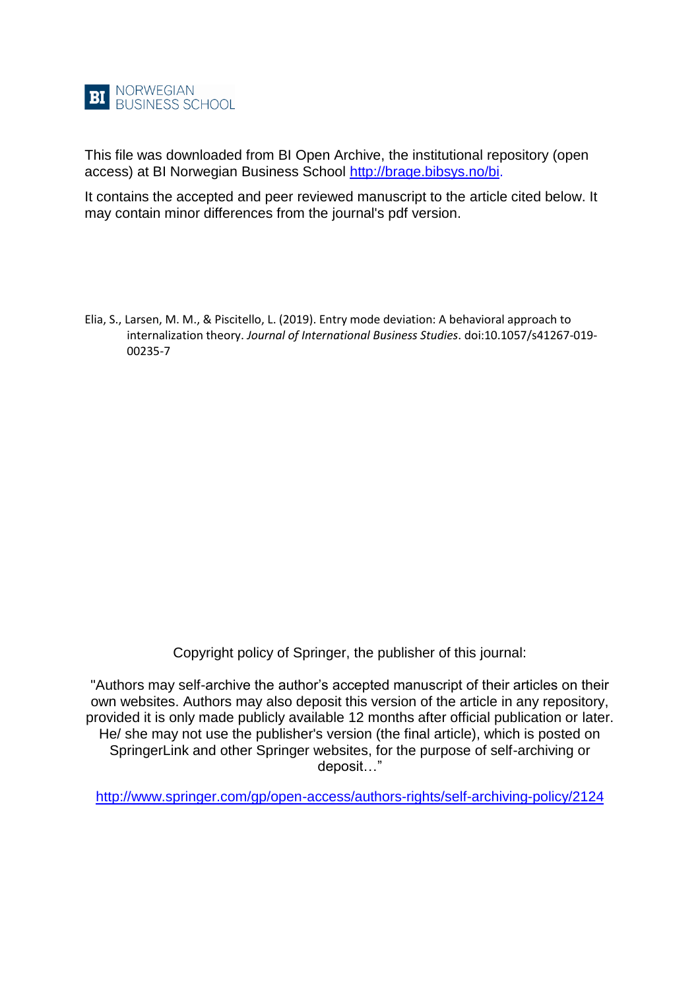

This file was downloaded from BI Open Archive, the institutional repository (open access) at BI Norwegian Business School [http://brage.bibsys.no/bi.](http://brage.bibsys.no/bi)

It contains the accepted and peer reviewed manuscript to the article cited below. It may contain minor differences from the journal's pdf version.

Elia, S., Larsen, M. M., & Piscitello, L. (2019). Entry mode deviation: A behavioral approach to internalization theory. *Journal of International Business Studies*. doi:10.1057/s41267-019- 00235-7

Copyright policy of Springer, the publisher of this journal:

"Authors may self-archive the author's accepted manuscript of their articles on their own websites. Authors may also deposit this version of the article in any repository, provided it is only made publicly available 12 months after official publication or later. He/ she may not use the publisher's version (the final article), which is posted on SpringerLink and other Springer websites, for the purpose of self-archiving or deposit…"

<http://www.springer.com/gp/open-access/authors-rights/self-archiving-policy/2124>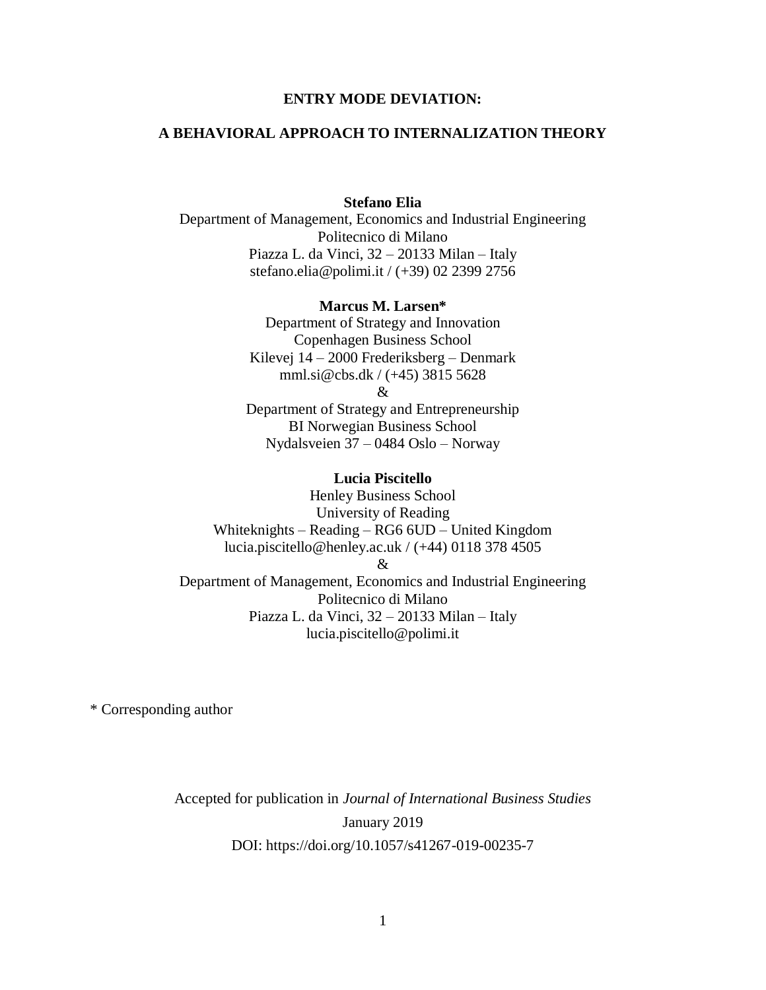## **ENTRY MODE DEVIATION:**

## **A BEHAVIORAL APPROACH TO INTERNALIZATION THEORY**

## **Stefano Elia**

Department of Management, Economics and Industrial Engineering Politecnico di Milano Piazza L. da Vinci, 32 – 20133 Milan – Italy stefano.elia@polimi.it / (+39) 02 2399 2756

#### **Marcus M. Larsen\***

Department of Strategy and Innovation Copenhagen Business School Kilevej 14 – 2000 Frederiksberg – Denmark mml.si@cbs.dk / (+45) 3815 5628

&

Department of Strategy and Entrepreneurship BI Norwegian Business School Nydalsveien 37 – 0484 Oslo – Norway

#### **Lucia Piscitello**

Henley Business School University of Reading Whiteknights – Reading – RG6 6UD – United Kingdom lucia.piscitello@henley.ac.uk / (+44) 0118 378 4505 & Department of Management, Economics and Industrial Engineering Politecnico di Milano Piazza L. da Vinci, 32 – 20133 Milan – Italy lucia.piscitello@polimi.it

\* Corresponding author

Accepted for publication in *Journal of International Business Studies* January 2019 DOI: https://doi.org/10.1057/s41267-019-00235-7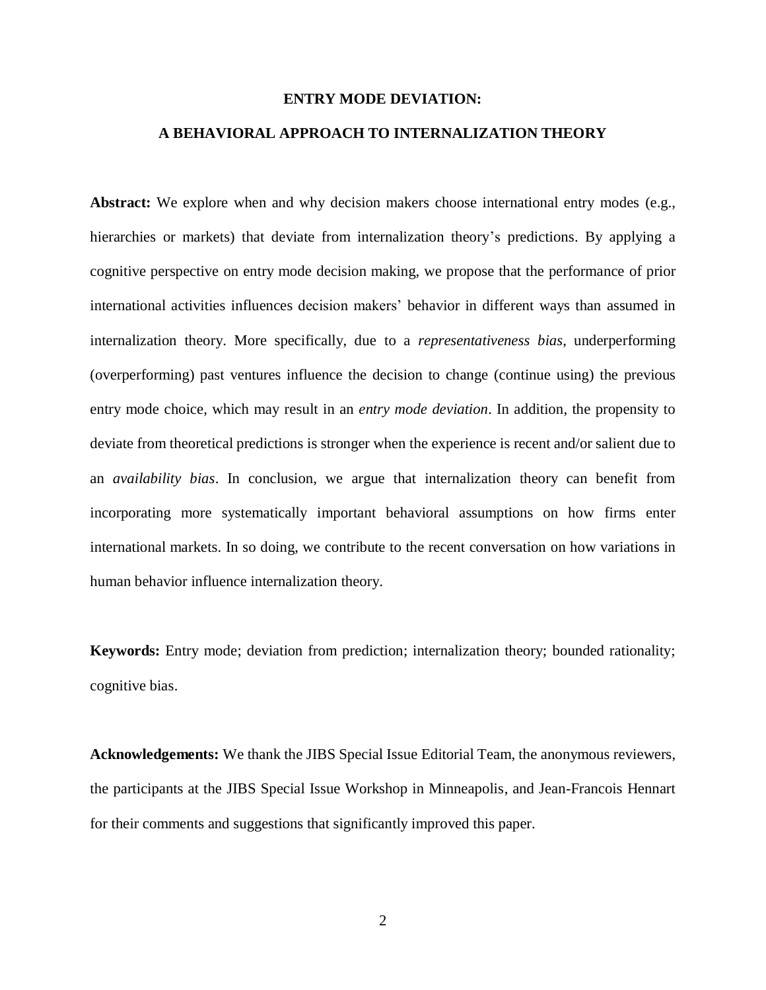## **ENTRY MODE DEVIATION:**

## **A BEHAVIORAL APPROACH TO INTERNALIZATION THEORY**

Abstract: We explore when and why decision makers choose international entry modes (e.g., hierarchies or markets) that deviate from internalization theory's predictions. By applying a cognitive perspective on entry mode decision making, we propose that the performance of prior international activities influences decision makers' behavior in different ways than assumed in internalization theory. More specifically, due to a *representativeness bias*, underperforming (overperforming) past ventures influence the decision to change (continue using) the previous entry mode choice, which may result in an *entry mode deviation*. In addition, the propensity to deviate from theoretical predictions is stronger when the experience is recent and/or salient due to an *availability bias*. In conclusion, we argue that internalization theory can benefit from incorporating more systematically important behavioral assumptions on how firms enter international markets. In so doing, we contribute to the recent conversation on how variations in human behavior influence internalization theory.

**Keywords:** Entry mode; deviation from prediction; internalization theory; bounded rationality; cognitive bias.

**Acknowledgements:** We thank the JIBS Special Issue Editorial Team, the anonymous reviewers, the participants at the JIBS Special Issue Workshop in Minneapolis, and Jean-Francois Hennart for their comments and suggestions that significantly improved this paper.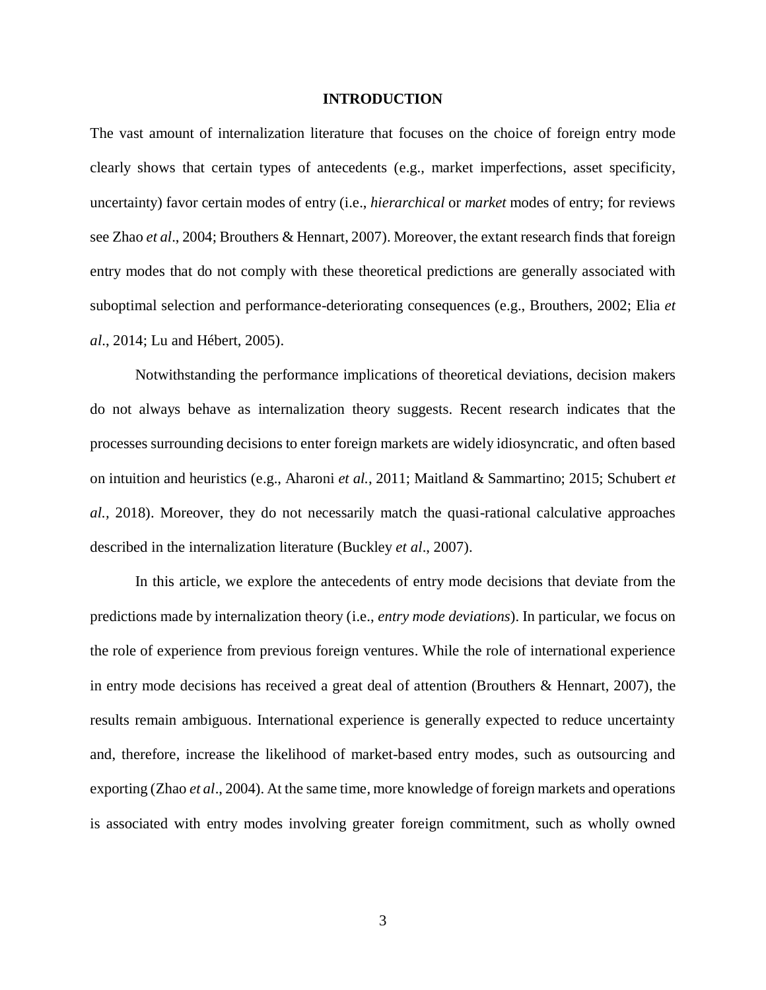## **INTRODUCTION**

The vast amount of internalization literature that focuses on the choice of foreign entry mode clearly shows that certain types of antecedents (e.g., market imperfections, asset specificity, uncertainty) favor certain modes of entry (i.e., *hierarchical* or *market* modes of entry; for reviews see Zhao *et al*., 2004; Brouthers & Hennart, 2007). Moreover, the extant research finds that foreign entry modes that do not comply with these theoretical predictions are generally associated with suboptimal selection and performance-deteriorating consequences (e.g., Brouthers, 2002; Elia *et al*., 2014; Lu and Hébert, 2005).

Notwithstanding the performance implications of theoretical deviations, decision makers do not always behave as internalization theory suggests. Recent research indicates that the processes surrounding decisions to enter foreign markets are widely idiosyncratic, and often based on intuition and heuristics (e.g., Aharoni *et al.*, 2011; Maitland & Sammartino; 2015; Schubert *et al.,* 2018). Moreover, they do not necessarily match the quasi-rational calculative approaches described in the internalization literature (Buckley *et al*., 2007).

In this article, we explore the antecedents of entry mode decisions that deviate from the predictions made by internalization theory (i.e., *entry mode deviations*). In particular, we focus on the role of experience from previous foreign ventures. While the role of international experience in entry mode decisions has received a great deal of attention (Brouthers & Hennart, 2007), the results remain ambiguous. International experience is generally expected to reduce uncertainty and, therefore, increase the likelihood of market-based entry modes, such as outsourcing and exporting (Zhao *et al*., 2004). At the same time, more knowledge of foreign markets and operations is associated with entry modes involving greater foreign commitment, such as wholly owned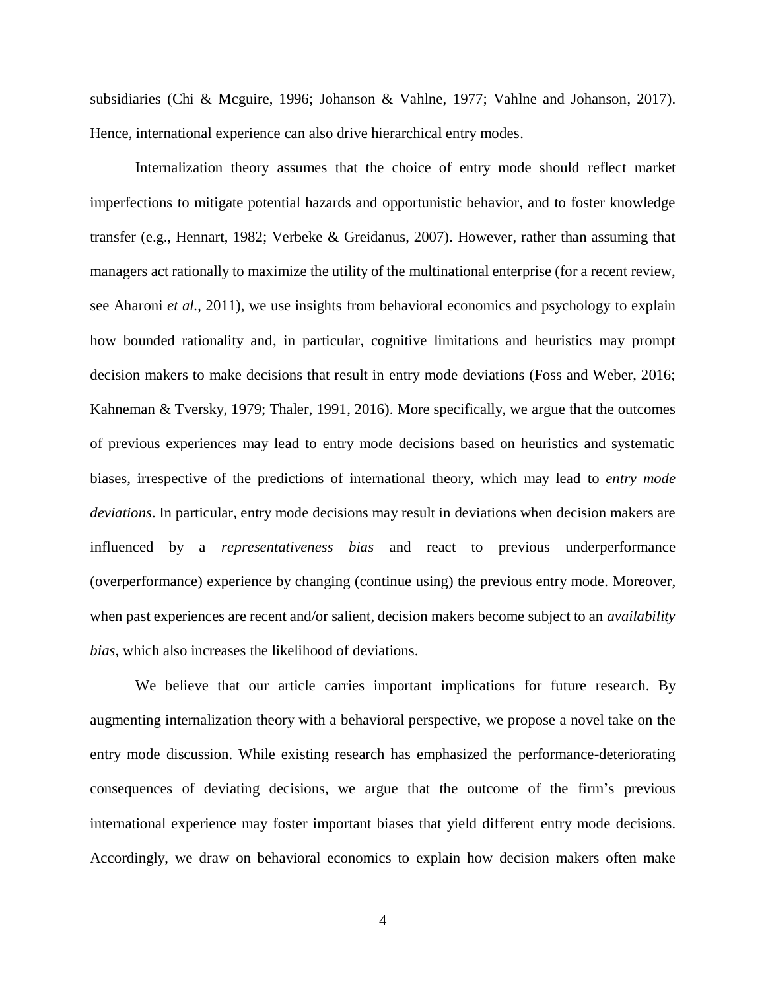subsidiaries (Chi & Mcguire, 1996; Johanson & Vahlne, 1977; Vahlne and Johanson, 2017). Hence, international experience can also drive hierarchical entry modes.

Internalization theory assumes that the choice of entry mode should reflect market imperfections to mitigate potential hazards and opportunistic behavior, and to foster knowledge transfer (e.g., Hennart, 1982; Verbeke & Greidanus, 2007). However, rather than assuming that managers act rationally to maximize the utility of the multinational enterprise (for a recent review, see Aharoni *et al.*, 2011), we use insights from behavioral economics and psychology to explain how bounded rationality and, in particular, cognitive limitations and heuristics may prompt decision makers to make decisions that result in entry mode deviations (Foss and Weber, 2016; Kahneman & Tversky, 1979; Thaler, 1991, 2016). More specifically, we argue that the outcomes of previous experiences may lead to entry mode decisions based on heuristics and systematic biases, irrespective of the predictions of international theory, which may lead to *entry mode deviations*. In particular, entry mode decisions may result in deviations when decision makers are influenced by a *representativeness bias* and react to previous underperformance (overperformance) experience by changing (continue using) the previous entry mode. Moreover, when past experiences are recent and/or salient, decision makers become subject to an *availability bias*, which also increases the likelihood of deviations.

We believe that our article carries important implications for future research. By augmenting internalization theory with a behavioral perspective, we propose a novel take on the entry mode discussion. While existing research has emphasized the performance-deteriorating consequences of deviating decisions, we argue that the outcome of the firm's previous international experience may foster important biases that yield different entry mode decisions. Accordingly, we draw on behavioral economics to explain how decision makers often make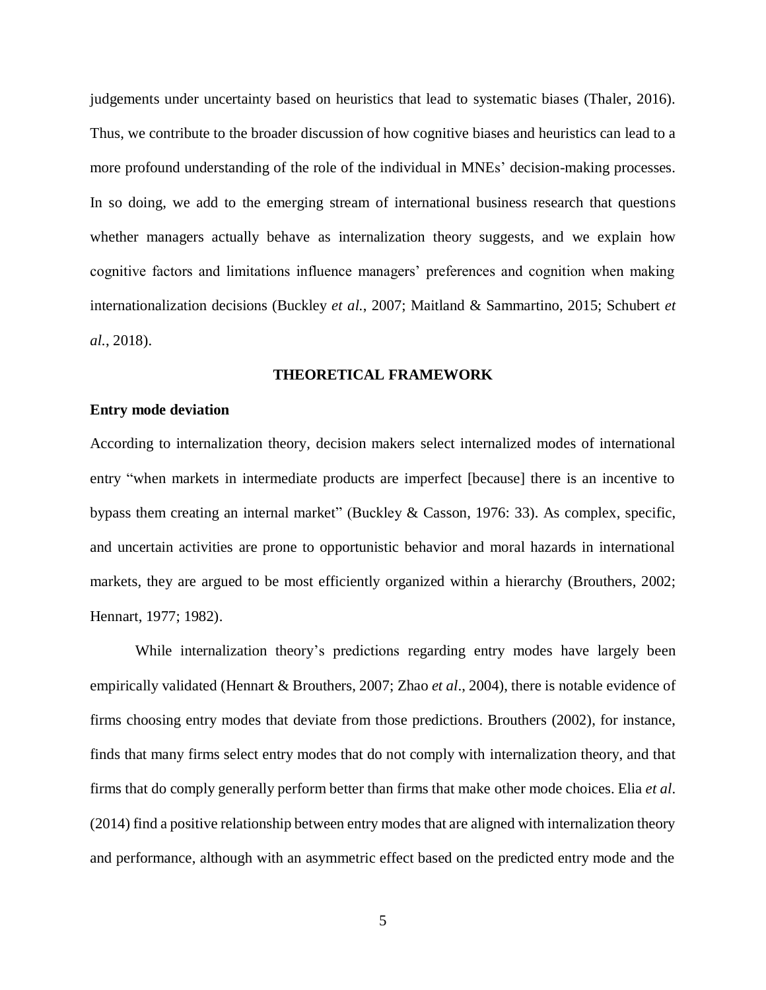judgements under uncertainty based on heuristics that lead to systematic biases (Thaler, 2016). Thus, we contribute to the broader discussion of how cognitive biases and heuristics can lead to a more profound understanding of the role of the individual in MNEs' decision-making processes. In so doing, we add to the emerging stream of international business research that questions whether managers actually behave as internalization theory suggests, and we explain how cognitive factors and limitations influence managers' preferences and cognition when making internationalization decisions (Buckley *et al.*, 2007; Maitland & Sammartino, 2015; Schubert *et al.*, 2018).

## **THEORETICAL FRAMEWORK**

#### **Entry mode deviation**

According to internalization theory, decision makers select internalized modes of international entry "when markets in intermediate products are imperfect [because] there is an incentive to bypass them creating an internal market" (Buckley & Casson, 1976: 33). As complex, specific, and uncertain activities are prone to opportunistic behavior and moral hazards in international markets, they are argued to be most efficiently organized within a hierarchy (Brouthers, 2002; Hennart, 1977; 1982).

While internalization theory's predictions regarding entry modes have largely been empirically validated (Hennart & Brouthers, 2007; Zhao *et al*., 2004), there is notable evidence of firms choosing entry modes that deviate from those predictions. Brouthers (2002), for instance, finds that many firms select entry modes that do not comply with internalization theory, and that firms that do comply generally perform better than firms that make other mode choices. Elia *et al*. (2014) find a positive relationship between entry modes that are aligned with internalization theory and performance, although with an asymmetric effect based on the predicted entry mode and the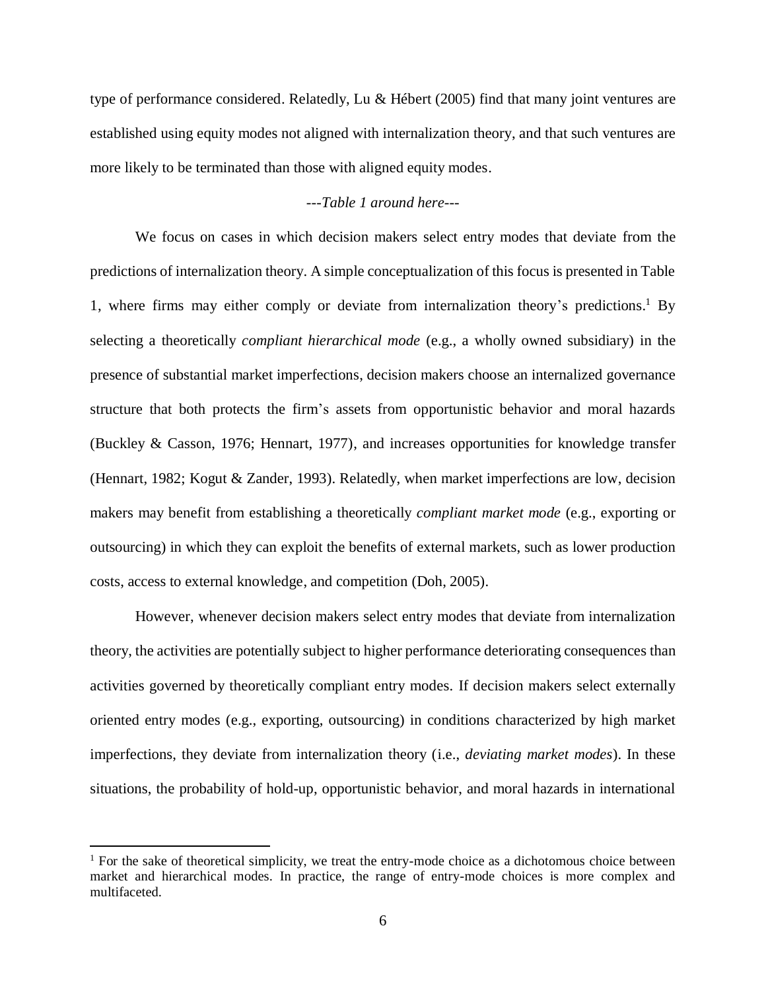type of performance considered. Relatedly, Lu & Hébert (2005) find that many joint ventures are established using equity modes not aligned with internalization theory, and that such ventures are more likely to be terminated than those with aligned equity modes.

## *---Table 1 around here---*

We focus on cases in which decision makers select entry modes that deviate from the predictions of internalization theory. A simple conceptualization of this focus is presented in Table 1, where firms may either comply or deviate from internalization theory's predictions. <sup>1</sup> By selecting a theoretically *compliant hierarchical mode* (e.g., a wholly owned subsidiary) in the presence of substantial market imperfections, decision makers choose an internalized governance structure that both protects the firm's assets from opportunistic behavior and moral hazards (Buckley & Casson, 1976; Hennart, 1977), and increases opportunities for knowledge transfer (Hennart, 1982; Kogut & Zander, 1993). Relatedly, when market imperfections are low, decision makers may benefit from establishing a theoretically *compliant market mode* (e.g., exporting or outsourcing) in which they can exploit the benefits of external markets, such as lower production costs, access to external knowledge, and competition (Doh, 2005).

However, whenever decision makers select entry modes that deviate from internalization theory, the activities are potentially subject to higher performance deteriorating consequences than activities governed by theoretically compliant entry modes. If decision makers select externally oriented entry modes (e.g., exporting, outsourcing) in conditions characterized by high market imperfections, they deviate from internalization theory (i.e., *deviating market modes*). In these situations, the probability of hold-up, opportunistic behavior, and moral hazards in international

**.** 

<sup>&</sup>lt;sup>1</sup> For the sake of theoretical simplicity, we treat the entry-mode choice as a dichotomous choice between market and hierarchical modes. In practice, the range of entry-mode choices is more complex and multifaceted.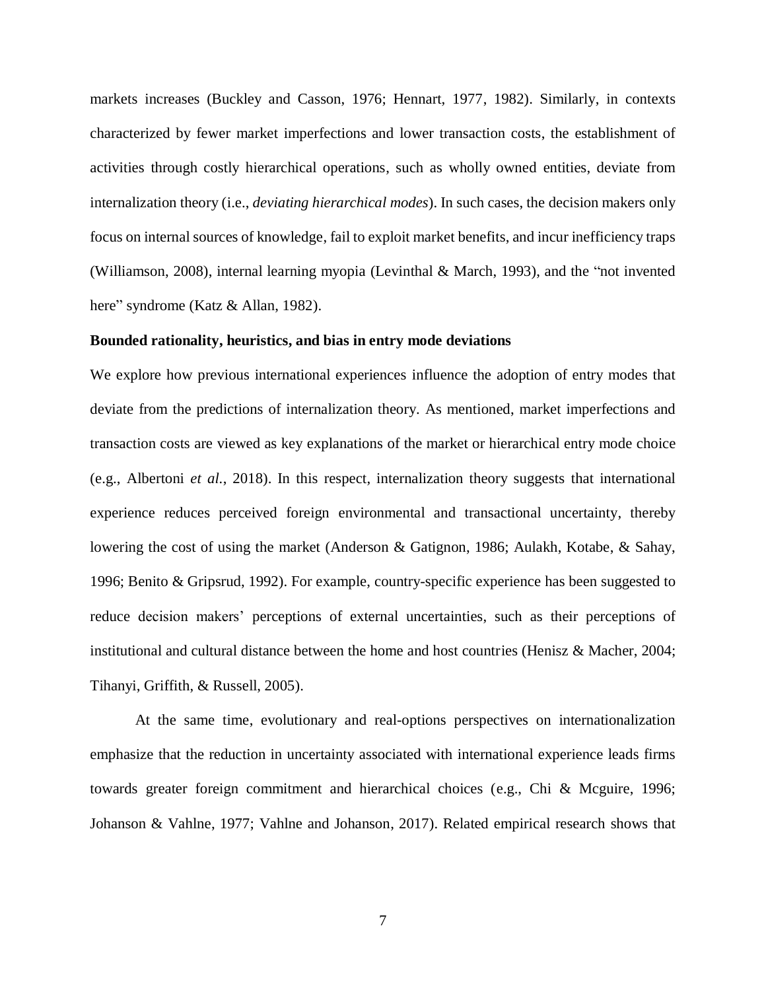markets increases (Buckley and Casson, 1976; Hennart, 1977, 1982). Similarly, in contexts characterized by fewer market imperfections and lower transaction costs, the establishment of activities through costly hierarchical operations, such as wholly owned entities, deviate from internalization theory (i.e., *deviating hierarchical modes*). In such cases, the decision makers only focus on internal sources of knowledge, fail to exploit market benefits, and incur inefficiency traps (Williamson, 2008), internal learning myopia (Levinthal & March, 1993), and the "not invented here" syndrome (Katz & Allan, 1982).

## **Bounded rationality, heuristics, and bias in entry mode deviations**

We explore how previous international experiences influence the adoption of entry modes that deviate from the predictions of internalization theory. As mentioned, market imperfections and transaction costs are viewed as key explanations of the market or hierarchical entry mode choice (e.g., Albertoni *et al.*, 2018). In this respect, internalization theory suggests that international experience reduces perceived foreign environmental and transactional uncertainty, thereby lowering the cost of using the market (Anderson & Gatignon, 1986; Aulakh, Kotabe, & Sahay, 1996; Benito & Gripsrud, 1992). For example, country-specific experience has been suggested to reduce decision makers' perceptions of external uncertainties, such as their perceptions of institutional and cultural distance between the home and host countries (Henisz & Macher, 2004; Tihanyi, Griffith, & Russell, 2005).

At the same time, evolutionary and real-options perspectives on internationalization emphasize that the reduction in uncertainty associated with international experience leads firms towards greater foreign commitment and hierarchical choices (e.g., Chi & Mcguire, 1996; Johanson & Vahlne, 1977; Vahlne and Johanson, 2017). Related empirical research shows that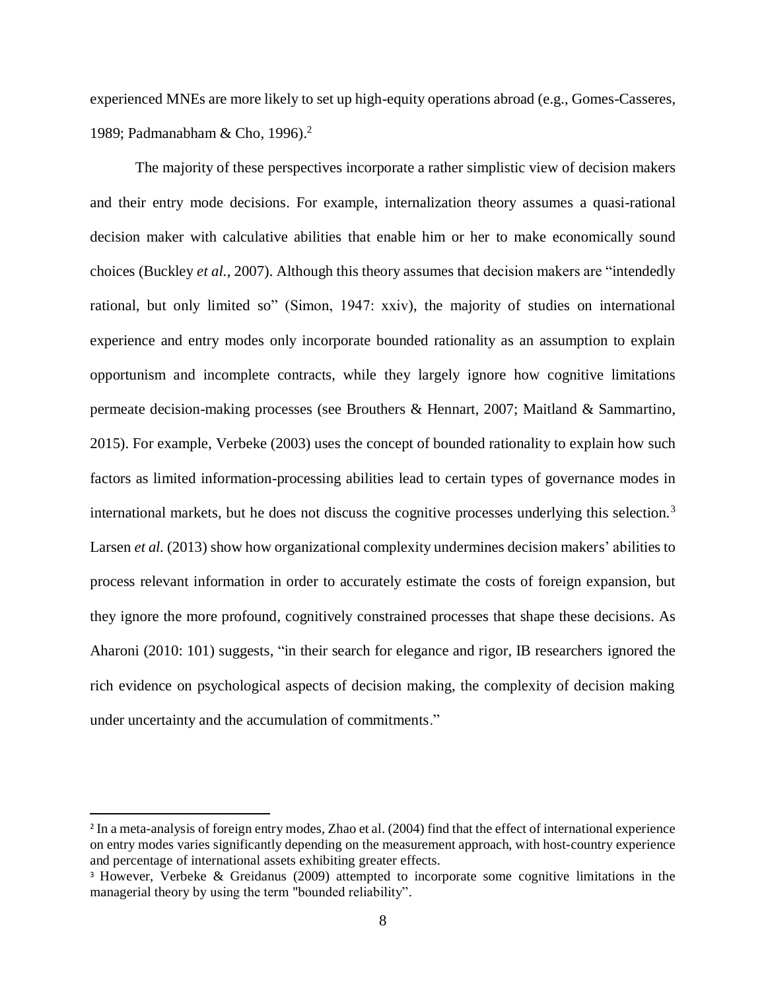experienced MNEs are more likely to set up high-equity operations abroad (e.g., Gomes-Casseres, 1989; Padmanabham & Cho, 1996). 2

The majority of these perspectives incorporate a rather simplistic view of decision makers and their entry mode decisions. For example, internalization theory assumes a quasi-rational decision maker with calculative abilities that enable him or her to make economically sound choices (Buckley *et al.*, 2007). Although this theory assumes that decision makers are "intendedly rational, but only limited so" (Simon, 1947: xxiv), the majority of studies on international experience and entry modes only incorporate bounded rationality as an assumption to explain opportunism and incomplete contracts, while they largely ignore how cognitive limitations permeate decision-making processes (see Brouthers & Hennart, 2007; Maitland & Sammartino, 2015). For example, Verbeke (2003) uses the concept of bounded rationality to explain how such factors as limited information-processing abilities lead to certain types of governance modes in international markets, but he does not discuss the cognitive processes underlying this selection.<sup>3</sup> Larsen *et al.* (2013) show how organizational complexity undermines decision makers' abilities to process relevant information in order to accurately estimate the costs of foreign expansion, but they ignore the more profound, cognitively constrained processes that shape these decisions. As Aharoni (2010: 101) suggests, "in their search for elegance and rigor, IB researchers ignored the rich evidence on psychological aspects of decision making, the complexity of decision making under uncertainty and the accumulation of commitments."

**.** 

<sup>2</sup> In a meta-analysis of foreign entry modes, Zhao et al. (2004) find that the effect of international experience on entry modes varies significantly depending on the measurement approach, with host-country experience and percentage of international assets exhibiting greater effects.

<sup>3</sup> However, Verbeke & Greidanus (2009) attempted to incorporate some cognitive limitations in the managerial theory by using the term "bounded reliability".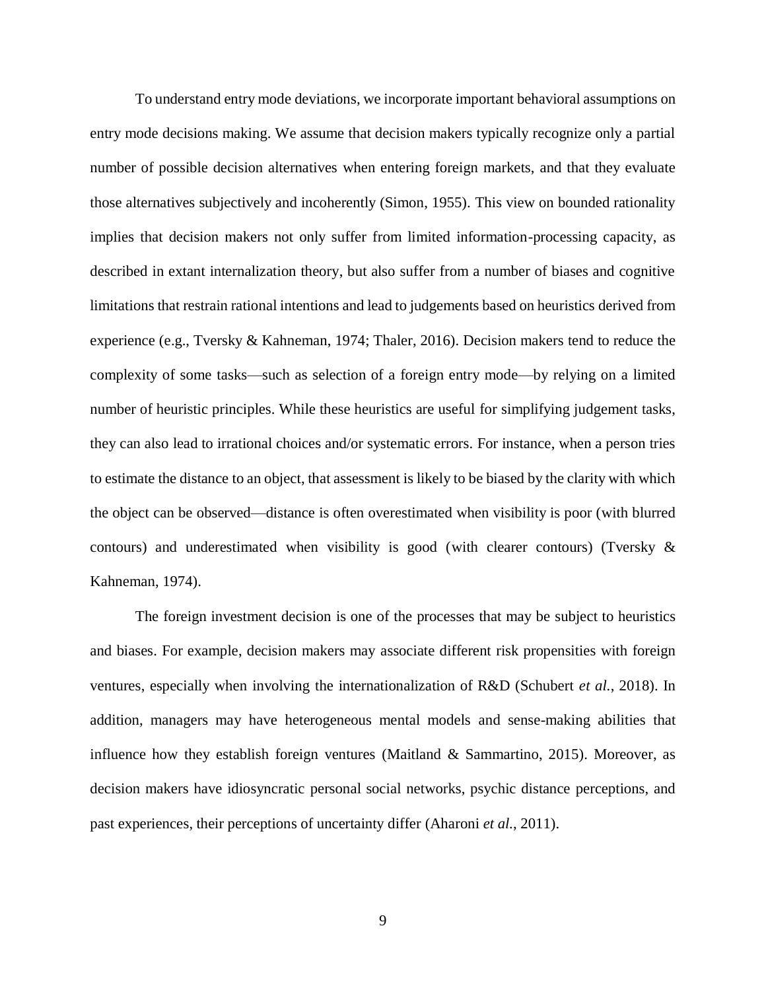To understand entry mode deviations, we incorporate important behavioral assumptions on entry mode decisions making. We assume that decision makers typically recognize only a partial number of possible decision alternatives when entering foreign markets, and that they evaluate those alternatives subjectively and incoherently (Simon, 1955). This view on bounded rationality implies that decision makers not only suffer from limited information-processing capacity, as described in extant internalization theory, but also suffer from a number of biases and cognitive limitations that restrain rational intentions and lead to judgements based on heuristics derived from experience (e.g., Tversky & Kahneman, 1974; Thaler, 2016). Decision makers tend to reduce the complexity of some tasks—such as selection of a foreign entry mode—by relying on a limited number of heuristic principles. While these heuristics are useful for simplifying judgement tasks, they can also lead to irrational choices and/or systematic errors. For instance, when a person tries to estimate the distance to an object, that assessment is likely to be biased by the clarity with which the object can be observed—distance is often overestimated when visibility is poor (with blurred contours) and underestimated when visibility is good (with clearer contours) (Tversky & Kahneman, 1974).

The foreign investment decision is one of the processes that may be subject to heuristics and biases. For example, decision makers may associate different risk propensities with foreign ventures, especially when involving the internationalization of R&D (Schubert *et al.*, 2018). In addition, managers may have heterogeneous mental models and sense-making abilities that influence how they establish foreign ventures (Maitland & Sammartino, 2015). Moreover, as decision makers have idiosyncratic personal social networks, psychic distance perceptions, and past experiences, their perceptions of uncertainty differ (Aharoni *et al.*, 2011).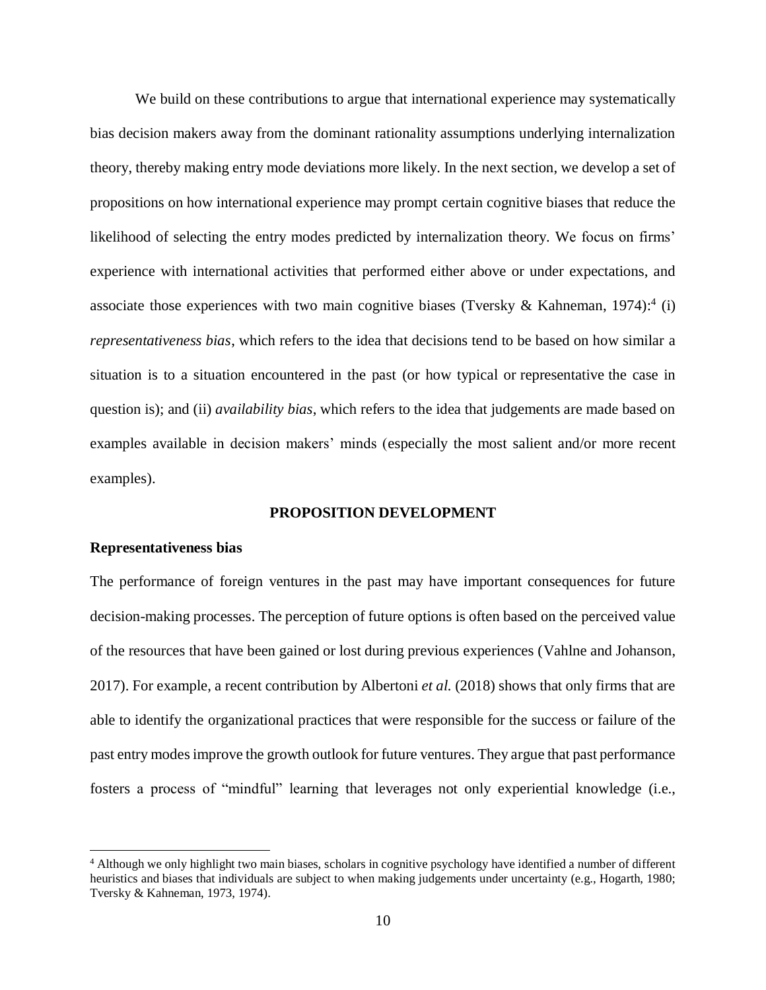We build on these contributions to argue that international experience may systematically bias decision makers away from the dominant rationality assumptions underlying internalization theory, thereby making entry mode deviations more likely. In the next section, we develop a set of propositions on how international experience may prompt certain cognitive biases that reduce the likelihood of selecting the entry modes predicted by internalization theory. We focus on firms' experience with international activities that performed either above or under expectations, and associate those experiences with two main cognitive biases (Tversky & Kahneman, 1974):<sup>4</sup> (i) *representativeness bias*, which refers to the idea that decisions tend to be based on how similar a situation is to a situation encountered in the past (or how typical or representative the case in question is); and (ii) *availability bias*, which refers to the idea that judgements are made based on examples available in decision makers' minds (especially the most salient and/or more recent examples).

#### **PROPOSITION DEVELOPMENT**

### **Representativeness bias**

**.** 

The performance of foreign ventures in the past may have important consequences for future decision-making processes. The perception of future options is often based on the perceived value of the resources that have been gained or lost during previous experiences (Vahlne and Johanson, 2017). For example, a recent contribution by Albertoni *et al.* (2018) shows that only firms that are able to identify the organizational practices that were responsible for the success or failure of the past entry modes improve the growth outlook for future ventures. They argue that past performance fosters a process of "mindful" learning that leverages not only experiential knowledge (i.e.,

<sup>4</sup> Although we only highlight two main biases, scholars in cognitive psychology have identified a number of different heuristics and biases that individuals are subject to when making judgements under uncertainty (e.g., Hogarth, 1980; Tversky & Kahneman, 1973, 1974).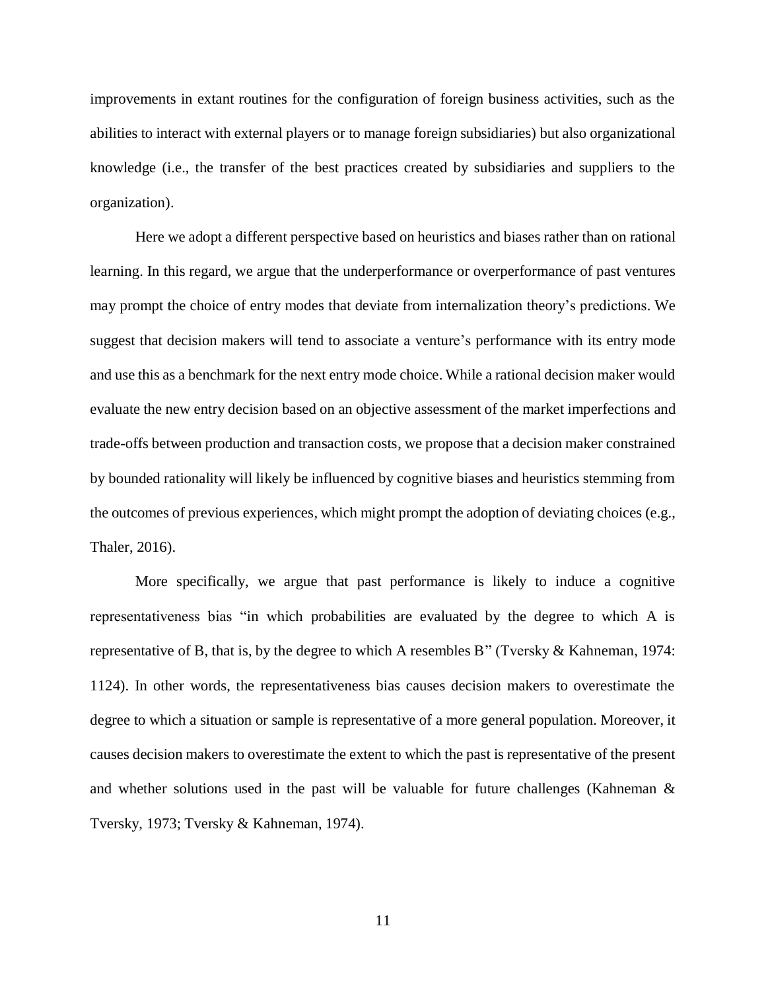improvements in extant routines for the configuration of foreign business activities, such as the abilities to interact with external players or to manage foreign subsidiaries) but also organizational knowledge (i.e., the transfer of the best practices created by subsidiaries and suppliers to the organization).

Here we adopt a different perspective based on heuristics and biases rather than on rational learning. In this regard, we argue that the underperformance or overperformance of past ventures may prompt the choice of entry modes that deviate from internalization theory's predictions. We suggest that decision makers will tend to associate a venture's performance with its entry mode and use this as a benchmark for the next entry mode choice. While a rational decision maker would evaluate the new entry decision based on an objective assessment of the market imperfections and trade-offs between production and transaction costs, we propose that a decision maker constrained by bounded rationality will likely be influenced by cognitive biases and heuristics stemming from the outcomes of previous experiences, which might prompt the adoption of deviating choices (e.g., Thaler, 2016).

More specifically, we argue that past performance is likely to induce a cognitive representativeness bias "in which probabilities are evaluated by the degree to which A is representative of B, that is, by the degree to which A resembles B" (Tversky & Kahneman, 1974: 1124). In other words, the representativeness bias causes decision makers to overestimate the degree to which a situation or sample is representative of a more general population. Moreover, it causes decision makers to overestimate the extent to which the past is representative of the present and whether solutions used in the past will be valuable for future challenges (Kahneman & Tversky, 1973; Tversky & Kahneman, 1974).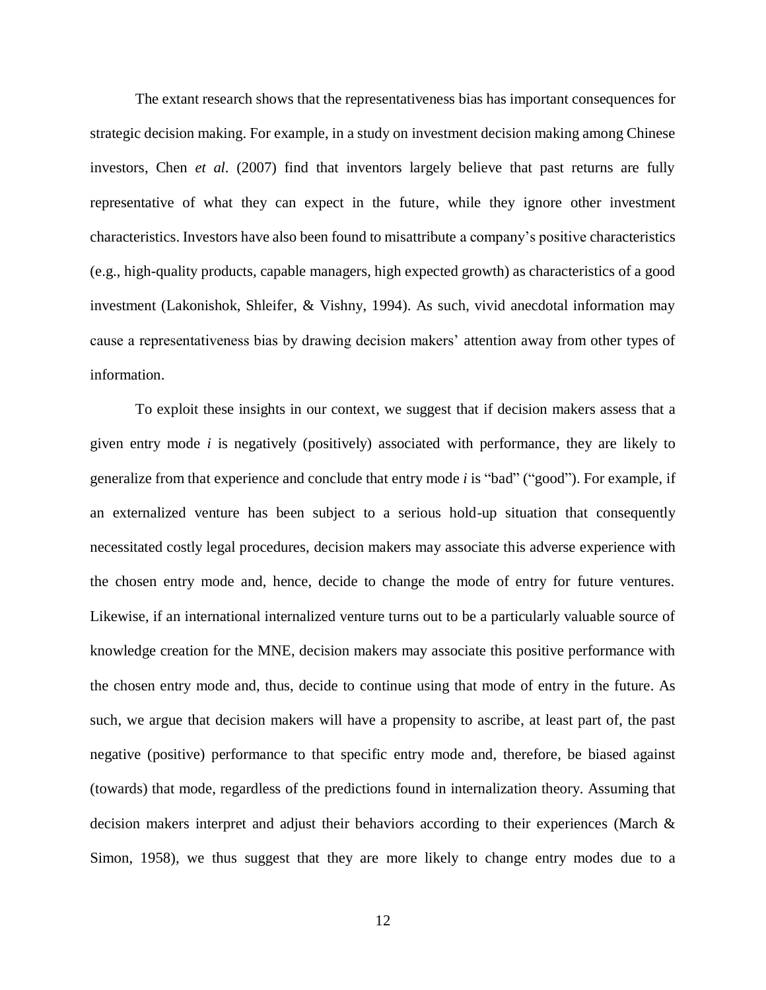The extant research shows that the representativeness bias has important consequences for strategic decision making. For example, in a study on investment decision making among Chinese investors, Chen *et al.* (2007) find that inventors largely believe that past returns are fully representative of what they can expect in the future, while they ignore other investment characteristics. Investors have also been found to misattribute a company's positive characteristics (e.g., high-quality products, capable managers, high expected growth) as characteristics of a good investment (Lakonishok, Shleifer, & Vishny, 1994). As such, vivid anecdotal information may cause a representativeness bias by drawing decision makers' attention away from other types of information.

To exploit these insights in our context, we suggest that if decision makers assess that a given entry mode *i* is negatively (positively) associated with performance, they are likely to generalize from that experience and conclude that entry mode *i* is "bad" ("good"). For example, if an externalized venture has been subject to a serious hold-up situation that consequently necessitated costly legal procedures, decision makers may associate this adverse experience with the chosen entry mode and, hence, decide to change the mode of entry for future ventures. Likewise, if an international internalized venture turns out to be a particularly valuable source of knowledge creation for the MNE, decision makers may associate this positive performance with the chosen entry mode and, thus, decide to continue using that mode of entry in the future. As such, we argue that decision makers will have a propensity to ascribe, at least part of, the past negative (positive) performance to that specific entry mode and, therefore, be biased against (towards) that mode, regardless of the predictions found in internalization theory. Assuming that decision makers interpret and adjust their behaviors according to their experiences (March & Simon, 1958), we thus suggest that they are more likely to change entry modes due to a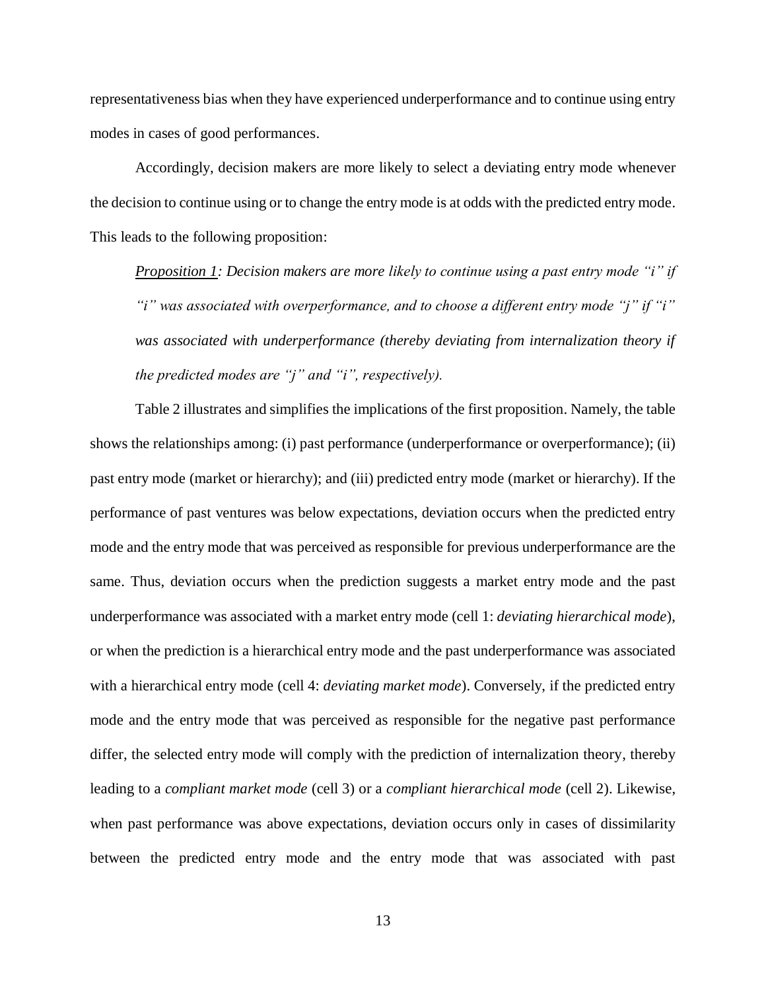representativeness bias when they have experienced underperformance and to continue using entry modes in cases of good performances.

Accordingly, decision makers are more likely to select a deviating entry mode whenever the decision to continue using or to change the entry mode is at odds with the predicted entry mode. This leads to the following proposition:

*Proposition 1: Decision makers are more likely to continue using a past entry mode "i" if "i" was associated with overperformance, and to choose a different entry mode "j" if "i" was associated with underperformance (thereby deviating from internalization theory if the predicted modes are "j" and "i", respectively).*

Table 2 illustrates and simplifies the implications of the first proposition. Namely, the table shows the relationships among: (i) past performance (underperformance or overperformance); (ii) past entry mode (market or hierarchy); and (iii) predicted entry mode (market or hierarchy). If the performance of past ventures was below expectations, deviation occurs when the predicted entry mode and the entry mode that was perceived as responsible for previous underperformance are the same. Thus, deviation occurs when the prediction suggests a market entry mode and the past underperformance was associated with a market entry mode (cell 1: *deviating hierarchical mode*), or when the prediction is a hierarchical entry mode and the past underperformance was associated with a hierarchical entry mode (cell 4: *deviating market mode*). Conversely, if the predicted entry mode and the entry mode that was perceived as responsible for the negative past performance differ, the selected entry mode will comply with the prediction of internalization theory, thereby leading to a *compliant market mode* (cell 3) or a *compliant hierarchical mode* (cell 2). Likewise, when past performance was above expectations, deviation occurs only in cases of dissimilarity between the predicted entry mode and the entry mode that was associated with past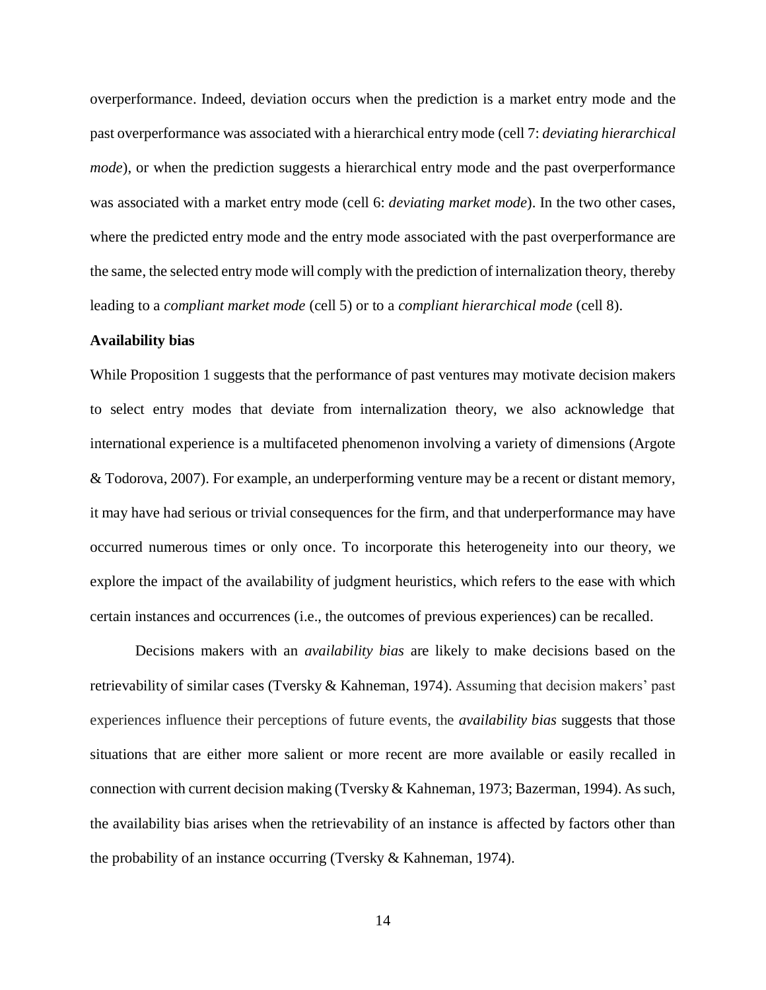overperformance. Indeed, deviation occurs when the prediction is a market entry mode and the past overperformance was associated with a hierarchical entry mode (cell 7: *deviating hierarchical mode*), or when the prediction suggests a hierarchical entry mode and the past overperformance was associated with a market entry mode (cell 6: *deviating market mode*). In the two other cases, where the predicted entry mode and the entry mode associated with the past overperformance are the same, the selected entry mode will comply with the prediction of internalization theory, thereby leading to a *compliant market mode* (cell 5) or to a *compliant hierarchical mode* (cell 8).

## **Availability bias**

While Proposition 1 suggests that the performance of past ventures may motivate decision makers to select entry modes that deviate from internalization theory, we also acknowledge that international experience is a multifaceted phenomenon involving a variety of dimensions (Argote & Todorova, 2007). For example, an underperforming venture may be a recent or distant memory, it may have had serious or trivial consequences for the firm, and that underperformance may have occurred numerous times or only once. To incorporate this heterogeneity into our theory, we explore the impact of the availability of judgment heuristics, which refers to the ease with which certain instances and occurrences (i.e., the outcomes of previous experiences) can be recalled.

Decisions makers with an *availability bias* are likely to make decisions based on the retrievability of similar cases (Tversky & Kahneman, 1974). Assuming that decision makers' past experiences influence their perceptions of future events, the *availability bias* suggests that those situations that are either more salient or more recent are more available or easily recalled in connection with current decision making (Tversky & Kahneman, 1973; Bazerman, 1994). As such, the availability bias arises when the retrievability of an instance is affected by factors other than the probability of an instance occurring (Tversky & Kahneman, 1974).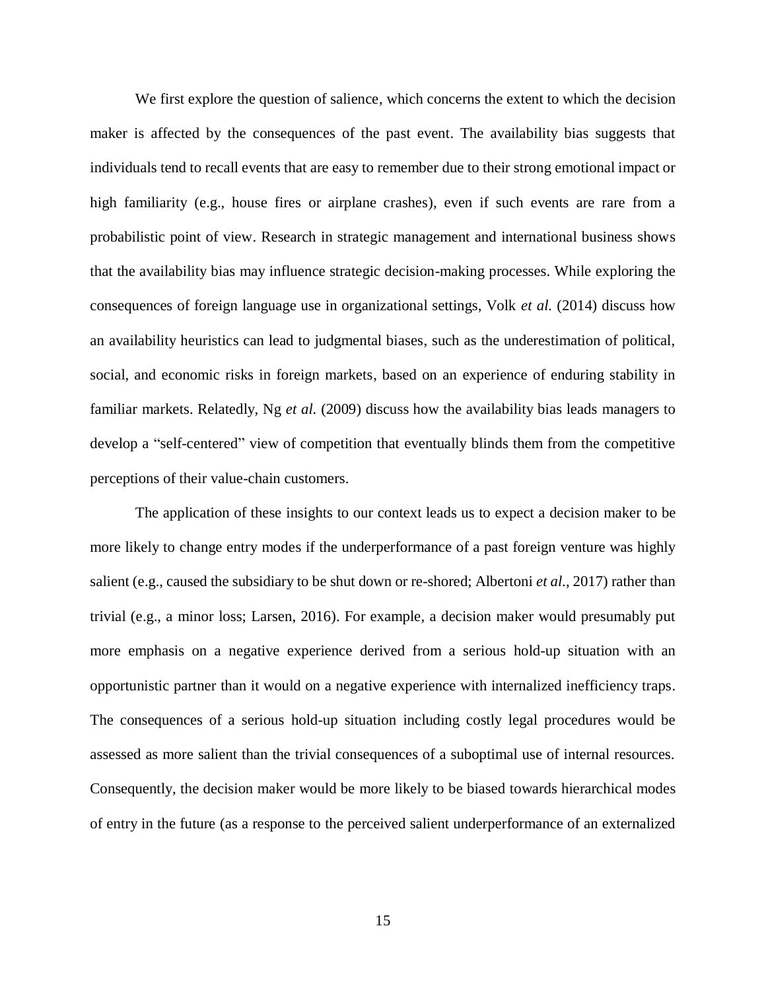We first explore the question of salience, which concerns the extent to which the decision maker is affected by the consequences of the past event. The availability bias suggests that individuals tend to recall events that are easy to remember due to their strong emotional impact or high familiarity (e.g., house fires or airplane crashes), even if such events are rare from a probabilistic point of view. Research in strategic management and international business shows that the availability bias may influence strategic decision-making processes. While exploring the consequences of foreign language use in organizational settings, Volk *et al.* (2014) discuss how an availability heuristics can lead to judgmental biases, such as the underestimation of political, social, and economic risks in foreign markets, based on an experience of enduring stability in familiar markets. Relatedly, Ng *et al.* (2009) discuss how the availability bias leads managers to develop a "self-centered" view of competition that eventually blinds them from the competitive perceptions of their value-chain customers.

The application of these insights to our context leads us to expect a decision maker to be more likely to change entry modes if the underperformance of a past foreign venture was highly salient (e.g., caused the subsidiary to be shut down or re-shored; Albertoni *et al.*, 2017) rather than trivial (e.g., a minor loss; Larsen, 2016). For example, a decision maker would presumably put more emphasis on a negative experience derived from a serious hold-up situation with an opportunistic partner than it would on a negative experience with internalized inefficiency traps. The consequences of a serious hold-up situation including costly legal procedures would be assessed as more salient than the trivial consequences of a suboptimal use of internal resources. Consequently, the decision maker would be more likely to be biased towards hierarchical modes of entry in the future (as a response to the perceived salient underperformance of an externalized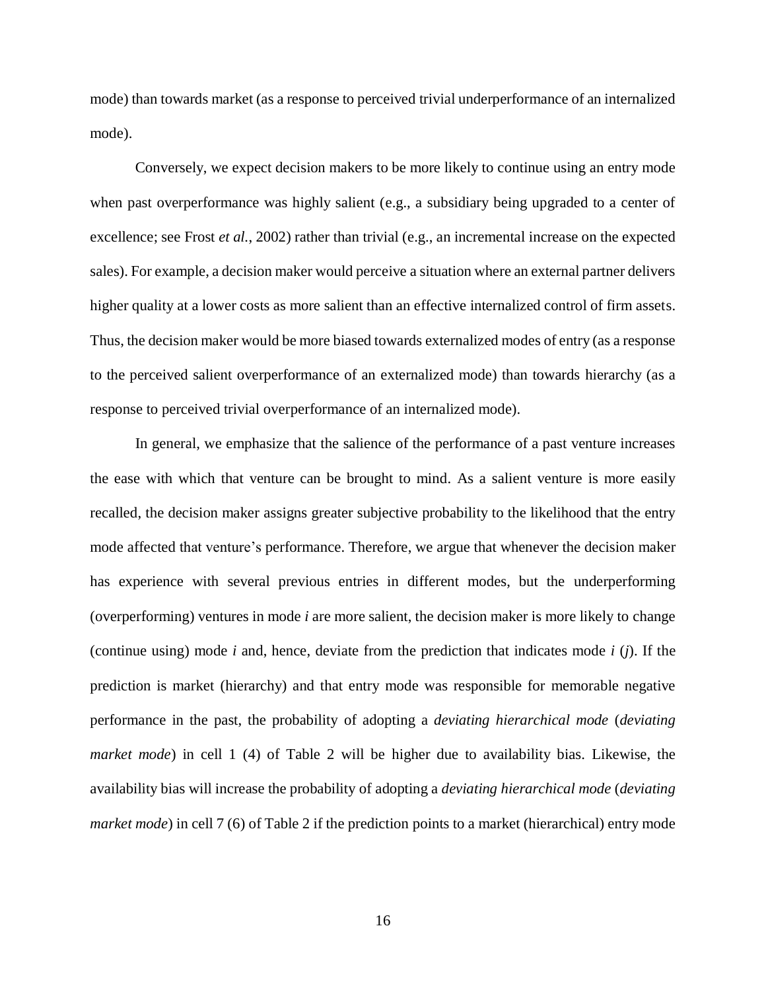mode) than towards market (as a response to perceived trivial underperformance of an internalized mode).

Conversely, we expect decision makers to be more likely to continue using an entry mode when past overperformance was highly salient (e.g., a subsidiary being upgraded to a center of excellence; see Frost *et al.*, 2002) rather than trivial (e.g., an incremental increase on the expected sales). For example, a decision maker would perceive a situation where an external partner delivers higher quality at a lower costs as more salient than an effective internalized control of firm assets. Thus, the decision maker would be more biased towards externalized modes of entry (as a response to the perceived salient overperformance of an externalized mode) than towards hierarchy (as a response to perceived trivial overperformance of an internalized mode).

In general, we emphasize that the salience of the performance of a past venture increases the ease with which that venture can be brought to mind. As a salient venture is more easily recalled, the decision maker assigns greater subjective probability to the likelihood that the entry mode affected that venture's performance. Therefore, we argue that whenever the decision maker has experience with several previous entries in different modes, but the underperforming (overperforming) ventures in mode *i* are more salient, the decision maker is more likely to change (continue using) mode *i* and, hence, deviate from the prediction that indicates mode *i* (*j*). If the prediction is market (hierarchy) and that entry mode was responsible for memorable negative performance in the past, the probability of adopting a *deviating hierarchical mode* (*deviating market mode*) in cell 1 (4) of Table 2 will be higher due to availability bias. Likewise, the availability bias will increase the probability of adopting a *deviating hierarchical mode* (*deviating market mode*) in cell 7 (6) of Table 2 if the prediction points to a market (hierarchical) entry mode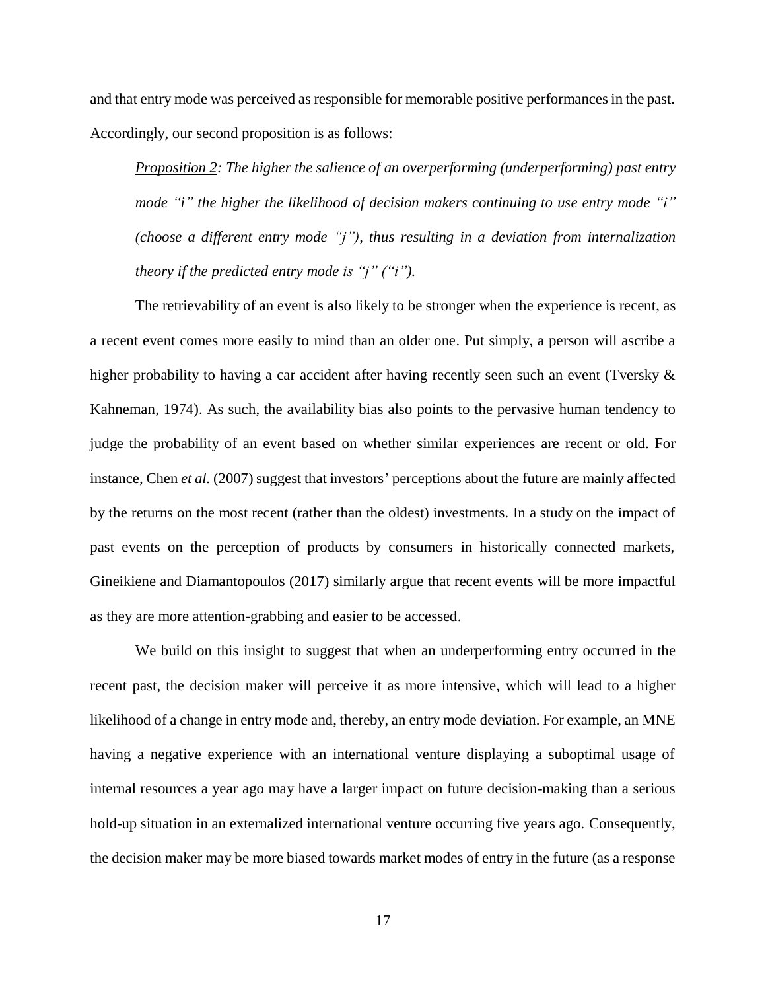and that entry mode was perceived as responsible for memorable positive performances in the past. Accordingly, our second proposition is as follows:

*Proposition 2: The higher the salience of an overperforming (underperforming) past entry mode "i" the higher the likelihood of decision makers continuing to use entry mode "i" (choose a different entry mode "j"), thus resulting in a deviation from internalization theory if the predicted entry mode is "j" ("i").*

The retrievability of an event is also likely to be stronger when the experience is recent, as a recent event comes more easily to mind than an older one. Put simply, a person will ascribe a higher probability to having a car accident after having recently seen such an event (Tversky & Kahneman, 1974). As such, the availability bias also points to the pervasive human tendency to judge the probability of an event based on whether similar experiences are recent or old. For instance, Chen *et al.* (2007) suggest that investors' perceptions about the future are mainly affected by the returns on the most recent (rather than the oldest) investments. In a study on the impact of past events on the perception of products by consumers in historically connected markets, Gineikiene and Diamantopoulos (2017) similarly argue that recent events will be more impactful as they are more attention-grabbing and easier to be accessed.

We build on this insight to suggest that when an underperforming entry occurred in the recent past, the decision maker will perceive it as more intensive, which will lead to a higher likelihood of a change in entry mode and, thereby, an entry mode deviation. For example, an MNE having a negative experience with an international venture displaying a suboptimal usage of internal resources a year ago may have a larger impact on future decision-making than a serious hold-up situation in an externalized international venture occurring five years ago. Consequently, the decision maker may be more biased towards market modes of entry in the future (as a response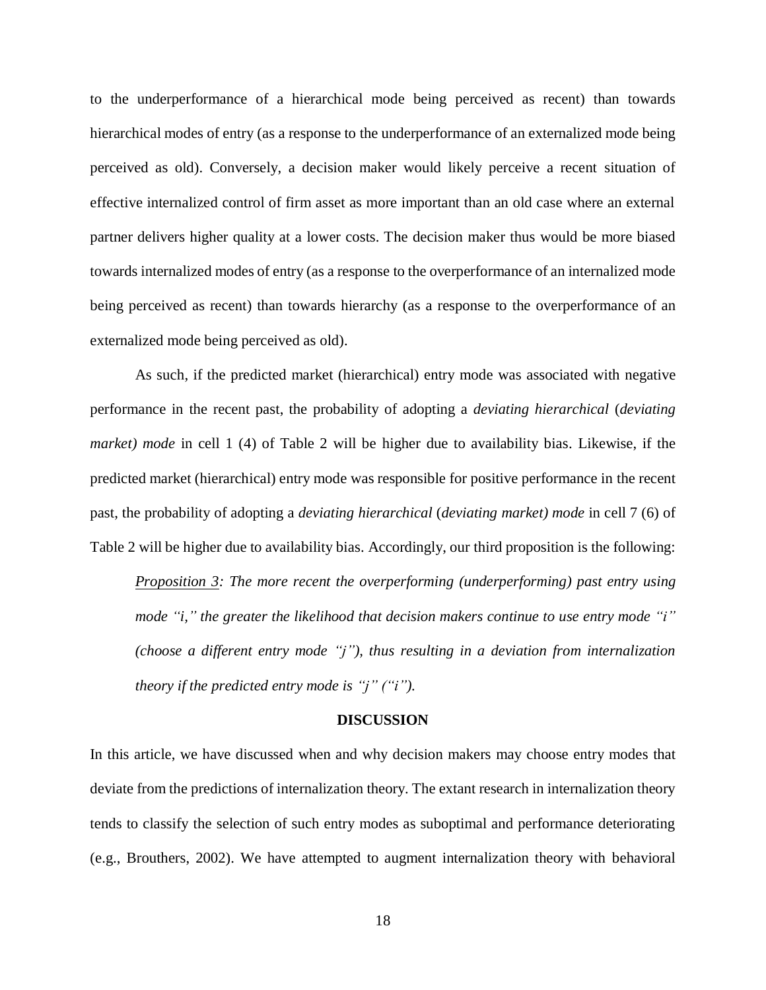to the underperformance of a hierarchical mode being perceived as recent) than towards hierarchical modes of entry (as a response to the underperformance of an externalized mode being perceived as old). Conversely, a decision maker would likely perceive a recent situation of effective internalized control of firm asset as more important than an old case where an external partner delivers higher quality at a lower costs. The decision maker thus would be more biased towards internalized modes of entry (as a response to the overperformance of an internalized mode being perceived as recent) than towards hierarchy (as a response to the overperformance of an externalized mode being perceived as old).

As such, if the predicted market (hierarchical) entry mode was associated with negative performance in the recent past, the probability of adopting a *deviating hierarchical* (*deviating market) mode* in cell 1 (4) of Table 2 will be higher due to availability bias. Likewise, if the predicted market (hierarchical) entry mode was responsible for positive performance in the recent past, the probability of adopting a *deviating hierarchical* (*deviating market) mode* in cell 7 (6) of Table 2 will be higher due to availability bias. Accordingly, our third proposition is the following:

*Proposition 3: The more recent the overperforming (underperforming) past entry using mode "i," the greater the likelihood that decision makers continue to use entry mode "i" (choose a different entry mode "j"), thus resulting in a deviation from internalization theory if the predicted entry mode is "j" ("i").*

#### **DISCUSSION**

In this article, we have discussed when and why decision makers may choose entry modes that deviate from the predictions of internalization theory. The extant research in internalization theory tends to classify the selection of such entry modes as suboptimal and performance deteriorating (e.g., Brouthers, 2002). We have attempted to augment internalization theory with behavioral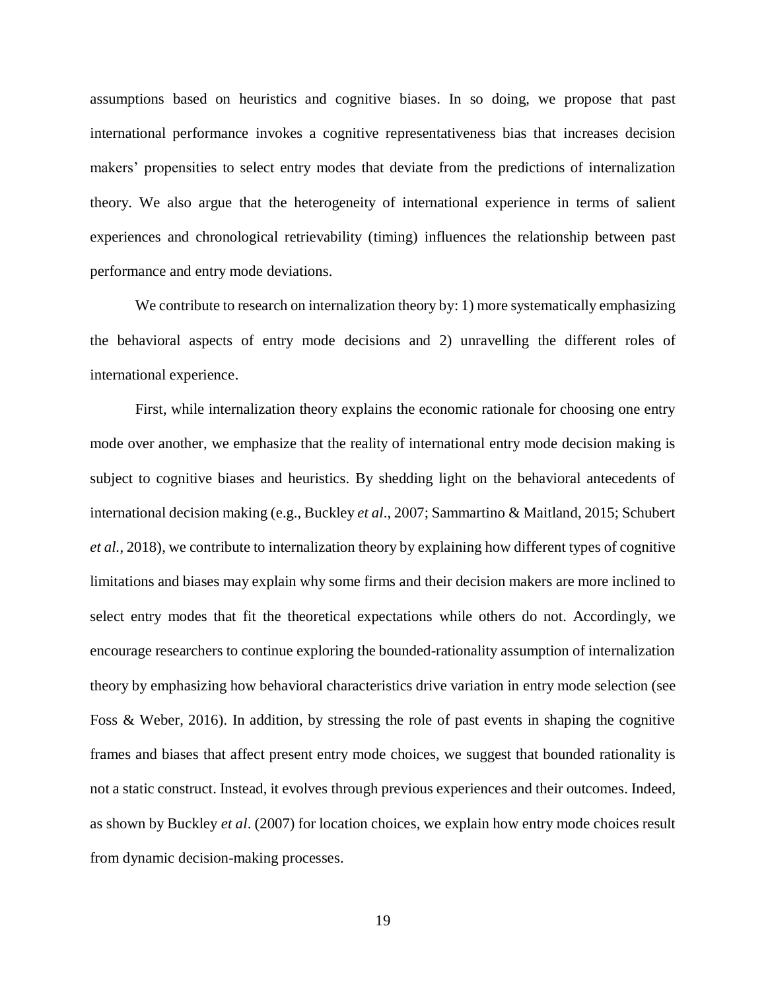assumptions based on heuristics and cognitive biases. In so doing, we propose that past international performance invokes a cognitive representativeness bias that increases decision makers' propensities to select entry modes that deviate from the predictions of internalization theory. We also argue that the heterogeneity of international experience in terms of salient experiences and chronological retrievability (timing) influences the relationship between past performance and entry mode deviations.

We contribute to research on internalization theory by: 1) more systematically emphasizing the behavioral aspects of entry mode decisions and 2) unravelling the different roles of international experience.

First, while internalization theory explains the economic rationale for choosing one entry mode over another, we emphasize that the reality of international entry mode decision making is subject to cognitive biases and heuristics. By shedding light on the behavioral antecedents of international decision making (e.g., Buckley *et al*., 2007; Sammartino & Maitland, 2015; Schubert *et al.*, 2018), we contribute to internalization theory by explaining how different types of cognitive limitations and biases may explain why some firms and their decision makers are more inclined to select entry modes that fit the theoretical expectations while others do not. Accordingly, we encourage researchers to continue exploring the bounded-rationality assumption of internalization theory by emphasizing how behavioral characteristics drive variation in entry mode selection (see Foss & Weber, 2016). In addition, by stressing the role of past events in shaping the cognitive frames and biases that affect present entry mode choices, we suggest that bounded rationality is not a static construct. Instead, it evolves through previous experiences and their outcomes. Indeed, as shown by Buckley *et al*. (2007) for location choices, we explain how entry mode choices result from dynamic decision-making processes.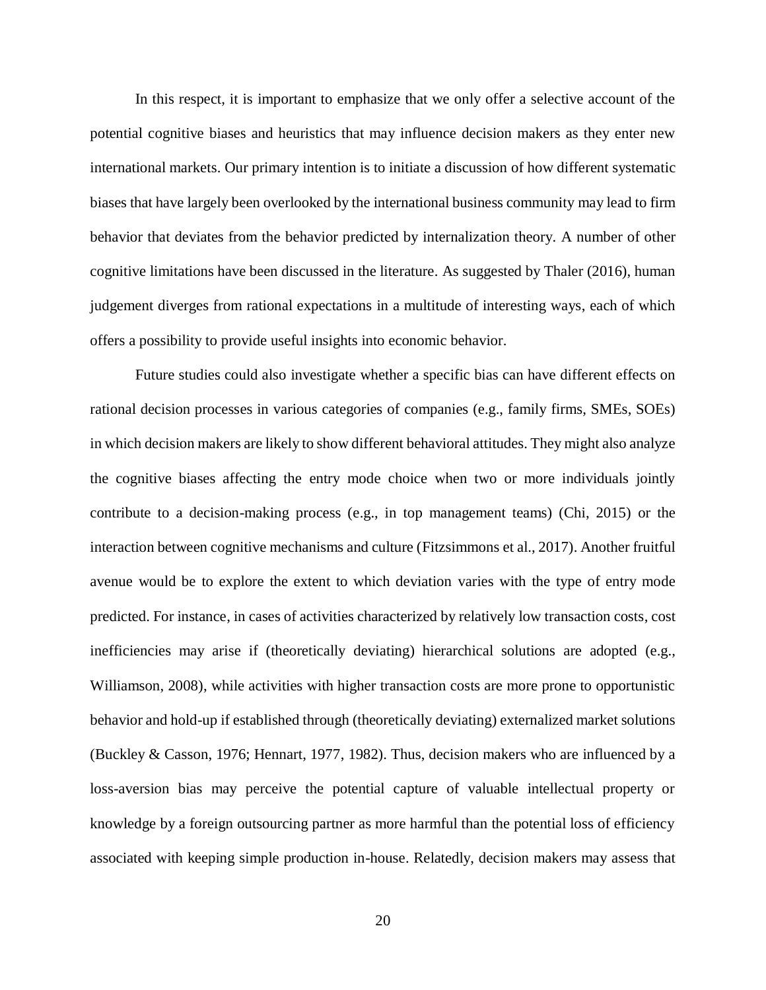In this respect, it is important to emphasize that we only offer a selective account of the potential cognitive biases and heuristics that may influence decision makers as they enter new international markets. Our primary intention is to initiate a discussion of how different systematic biases that have largely been overlooked by the international business community may lead to firm behavior that deviates from the behavior predicted by internalization theory. A number of other cognitive limitations have been discussed in the literature. As suggested by Thaler (2016), human judgement diverges from rational expectations in a multitude of interesting ways, each of which offers a possibility to provide useful insights into economic behavior.

Future studies could also investigate whether a specific bias can have different effects on rational decision processes in various categories of companies (e.g., family firms, SMEs, SOEs) in which decision makers are likely to show different behavioral attitudes. They might also analyze the cognitive biases affecting the entry mode choice when two or more individuals jointly contribute to a decision-making process (e.g., in top management teams) (Chi, 2015) or the interaction between cognitive mechanisms and culture (Fitzsimmons et al., 2017). Another fruitful avenue would be to explore the extent to which deviation varies with the type of entry mode predicted. For instance, in cases of activities characterized by relatively low transaction costs, cost inefficiencies may arise if (theoretically deviating) hierarchical solutions are adopted (e.g., Williamson, 2008), while activities with higher transaction costs are more prone to opportunistic behavior and hold-up if established through (theoretically deviating) externalized market solutions (Buckley & Casson, 1976; Hennart, 1977, 1982). Thus, decision makers who are influenced by a loss-aversion bias may perceive the potential capture of valuable intellectual property or knowledge by a foreign outsourcing partner as more harmful than the potential loss of efficiency associated with keeping simple production in-house. Relatedly, decision makers may assess that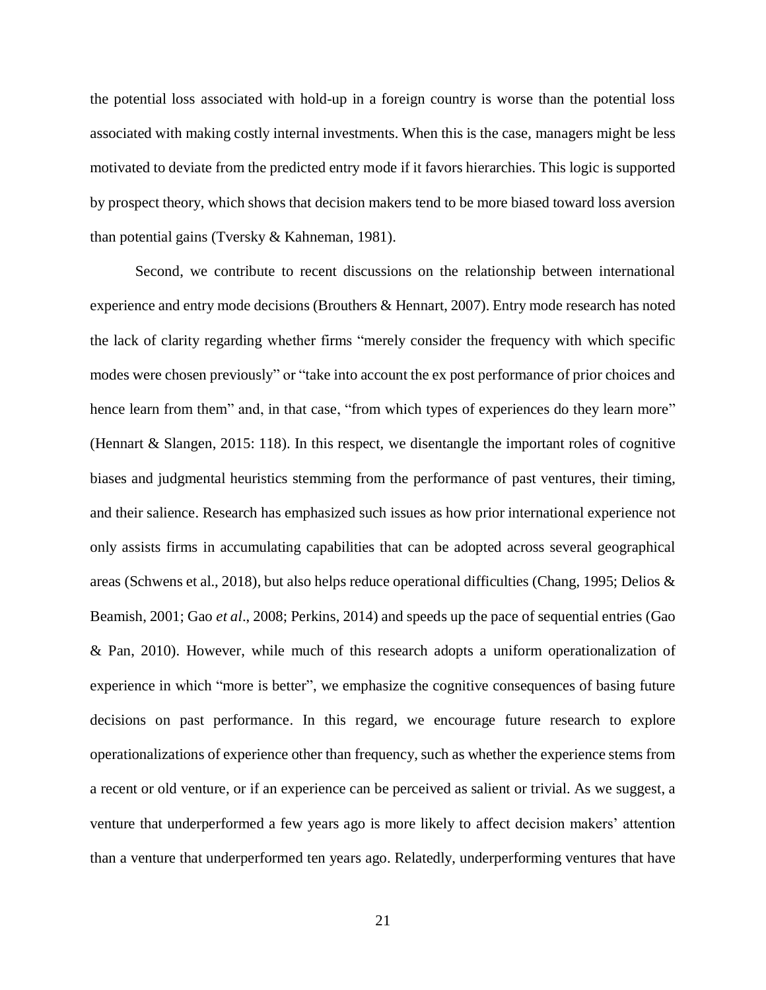the potential loss associated with hold-up in a foreign country is worse than the potential loss associated with making costly internal investments. When this is the case, managers might be less motivated to deviate from the predicted entry mode if it favors hierarchies. This logic is supported by prospect theory, which shows that decision makers tend to be more biased toward loss aversion than potential gains (Tversky & Kahneman, 1981).

Second, we contribute to recent discussions on the relationship between international experience and entry mode decisions (Brouthers & Hennart, 2007). Entry mode research has noted the lack of clarity regarding whether firms "merely consider the frequency with which specific modes were chosen previously" or "take into account the ex post performance of prior choices and hence learn from them" and, in that case, "from which types of experiences do they learn more" (Hennart & Slangen, 2015: 118). In this respect, we disentangle the important roles of cognitive biases and judgmental heuristics stemming from the performance of past ventures, their timing, and their salience. Research has emphasized such issues as how prior international experience not only assists firms in accumulating capabilities that can be adopted across several geographical areas (Schwens et al., 2018), but also helps reduce operational difficulties (Chang, 1995; Delios & Beamish, 2001; Gao *et al*., 2008; Perkins, 2014) and speeds up the pace of sequential entries (Gao & Pan, 2010). However, while much of this research adopts a uniform operationalization of experience in which "more is better", we emphasize the cognitive consequences of basing future decisions on past performance. In this regard, we encourage future research to explore operationalizations of experience other than frequency, such as whether the experience stems from a recent or old venture, or if an experience can be perceived as salient or trivial. As we suggest, a venture that underperformed a few years ago is more likely to affect decision makers' attention than a venture that underperformed ten years ago. Relatedly, underperforming ventures that have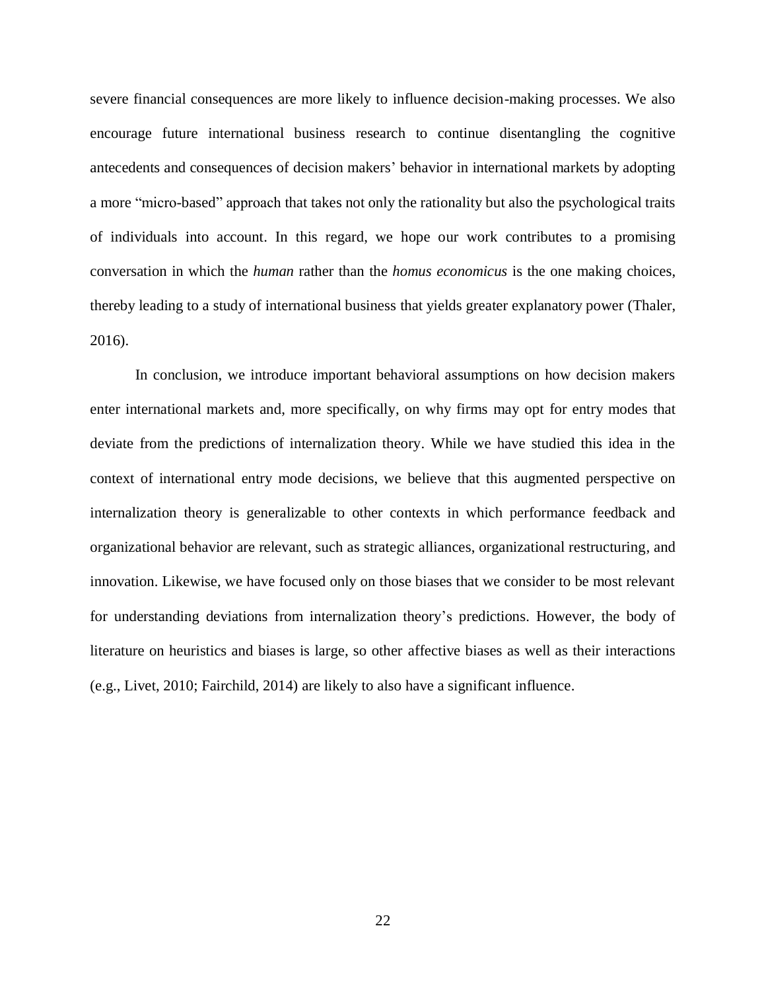severe financial consequences are more likely to influence decision-making processes. We also encourage future international business research to continue disentangling the cognitive antecedents and consequences of decision makers' behavior in international markets by adopting a more "micro-based" approach that takes not only the rationality but also the psychological traits of individuals into account. In this regard, we hope our work contributes to a promising conversation in which the *human* rather than the *homus economicus* is the one making choices, thereby leading to a study of international business that yields greater explanatory power (Thaler, 2016).

In conclusion, we introduce important behavioral assumptions on how decision makers enter international markets and, more specifically, on why firms may opt for entry modes that deviate from the predictions of internalization theory. While we have studied this idea in the context of international entry mode decisions, we believe that this augmented perspective on internalization theory is generalizable to other contexts in which performance feedback and organizational behavior are relevant, such as strategic alliances, organizational restructuring, and innovation. Likewise, we have focused only on those biases that we consider to be most relevant for understanding deviations from internalization theory's predictions. However, the body of literature on heuristics and biases is large, so other affective biases as well as their interactions (e.g., Livet, 2010; Fairchild, 2014) are likely to also have a significant influence.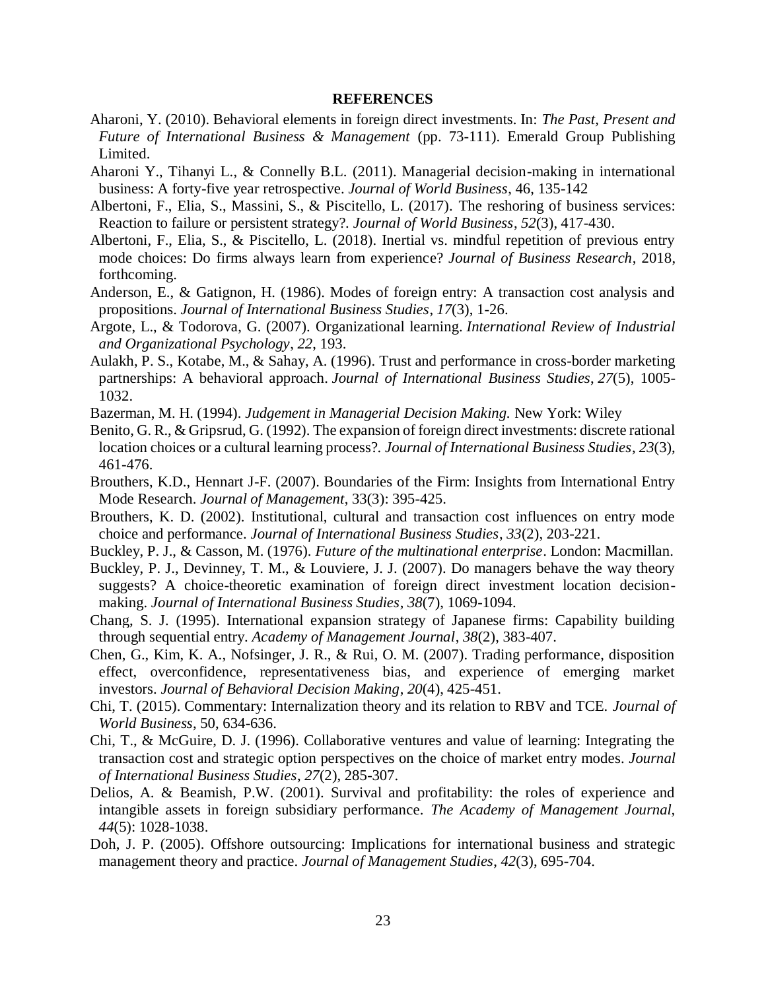## **REFERENCES**

- Aharoni, Y. (2010). Behavioral elements in foreign direct investments. In: *The Past, Present and Future of International Business & Management* (pp. 73-111). Emerald Group Publishing Limited.
- Aharoni Y., Tihanyi L., & Connelly B.L. (2011). Managerial decision-making in international business: A forty-five year retrospective. *Journal of World Business*, 46, 135-142
- Albertoni, F., Elia, S., Massini, S., & Piscitello, L. (2017). The reshoring of business services: Reaction to failure or persistent strategy?. *Journal of World Business*, *52*(3), 417-430.
- Albertoni, F., Elia, S., & Piscitello, L. (2018). Inertial vs. mindful repetition of previous entry mode choices: Do firms always learn from experience? *Journal of Business Research*, 2018, forthcoming.
- Anderson, E., & Gatignon, H. (1986). Modes of foreign entry: A transaction cost analysis and propositions. *Journal of International Business Studies*, *17*(3), 1-26.
- Argote, L., & Todorova, G. (2007). Organizational learning. *International Review of Industrial and Organizational Psychology*, *22*, 193.
- Aulakh, P. S., Kotabe, M., & Sahay, A. (1996). Trust and performance in cross-border marketing partnerships: A behavioral approach. *Journal of International Business Studies*, *27*(5), 1005- 1032.
- Bazerman, M. H. (1994). *Judgement in Managerial Decision Making.* New York: Wiley
- Benito, G. R., & Gripsrud, G. (1992). The expansion of foreign direct investments: discrete rational location choices or a cultural learning process?. *Journal of International Business Studies*, *23*(3), 461-476.
- Brouthers, K.D., Hennart J-F. (2007). Boundaries of the Firm: Insights from International Entry Mode Research. *Journal of Management*, 33(3): 395-425.
- Brouthers, K. D. (2002). Institutional, cultural and transaction cost influences on entry mode choice and performance. *Journal of International Business Studies*, *33*(2), 203-221.
- Buckley, P. J., & Casson, M. (1976). *Future of the multinational enterprise*. London: Macmillan.
- Buckley, P. J., Devinney, T. M., & Louviere, J. J. (2007). Do managers behave the way theory suggests? A choice-theoretic examination of foreign direct investment location decisionmaking. *Journal of International Business Studies*, *38*(7), 1069-1094.
- Chang, S. J. (1995). International expansion strategy of Japanese firms: Capability building through sequential entry. *Academy of Management Journal*, *38*(2), 383-407.
- Chen, G., Kim, K. A., Nofsinger, J. R., & Rui, O. M. (2007). Trading performance, disposition effect, overconfidence, representativeness bias, and experience of emerging market investors. *Journal of Behavioral Decision Making*, *20*(4), 425-451.
- Chi, T. (2015). Commentary: Internalization theory and its relation to RBV and TCE. *Journal of World Business*, 50, 634-636.
- Chi, T., & McGuire, D. J. (1996). Collaborative ventures and value of learning: Integrating the transaction cost and strategic option perspectives on the choice of market entry modes. *Journal of International Business Studies*, *27*(2), 285-307.
- Delios, A. & Beamish, P.W. (2001). Survival and profitability: the roles of experience and intangible assets in foreign subsidiary performance. *The Academy of Management Journal, 44*(5): 1028-1038.
- Doh, J. P. (2005). Offshore outsourcing: Implications for international business and strategic management theory and practice. *Journal of Management Studies*, *42*(3), 695-704.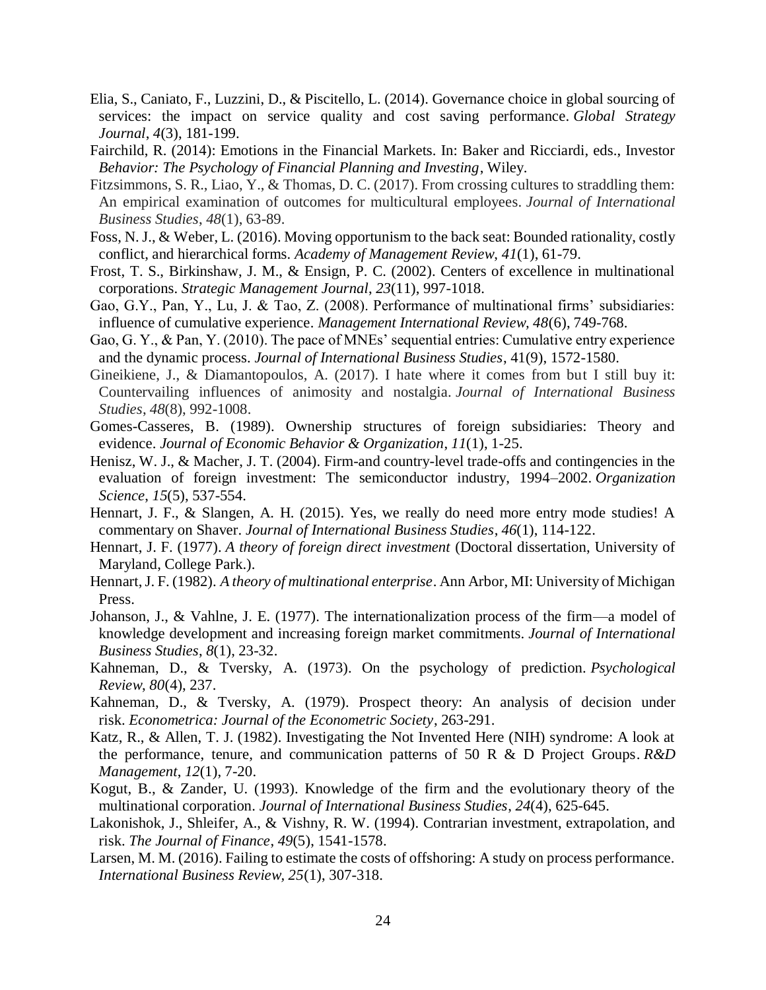- Elia, S., Caniato, F., Luzzini, D., & Piscitello, L. (2014). Governance choice in global sourcing of services: the impact on service quality and cost saving performance. *Global Strategy Journal*, *4*(3), 181-199.
- Fairchild, R. (2014): Emotions in the Financial Markets. In: Baker and Ricciardi, eds., Investor *Behavior: The Psychology of Financial Planning and Investing*, Wiley.
- Fitzsimmons, S. R., Liao, Y., & Thomas, D. C. (2017). From crossing cultures to straddling them: An empirical examination of outcomes for multicultural employees. *Journal of International Business Studies*, *48*(1), 63-89.
- Foss, N. J., & Weber, L. (2016). Moving opportunism to the back seat: Bounded rationality, costly conflict, and hierarchical forms. *Academy of Management Review*, *41*(1), 61-79.
- Frost, T. S., Birkinshaw, J. M., & Ensign, P. C. (2002). Centers of excellence in multinational corporations. *Strategic Management Journal*, *23*(11), 997-1018.
- Gao, G.Y., Pan, Y., Lu, J. & Tao, Z. (2008). Performance of multinational firms' subsidiaries: influence of cumulative experience. *Management International Review, 48*(6), 749-768.
- Gao, G. Y., & Pan, Y. (2010). The pace of MNEs' sequential entries: Cumulative entry experience and the dynamic process. *Journal of International Business Studies*, 41(9), 1572-1580.
- Gineikiene, J., & Diamantopoulos, A. (2017). I hate where it comes from but I still buy it: Countervailing influences of animosity and nostalgia. *Journal of International Business Studies*, *48*(8), 992-1008.
- Gomes-Casseres, B. (1989). Ownership structures of foreign subsidiaries: Theory and evidence. *Journal of Economic Behavior & Organization*, *11*(1), 1-25.
- Henisz, W. J., & Macher, J. T. (2004). Firm-and country-level trade-offs and contingencies in the evaluation of foreign investment: The semiconductor industry, 1994–2002. *Organization Science*, *15*(5), 537-554.
- Hennart, J. F., & Slangen, A. H. (2015). Yes, we really do need more entry mode studies! A commentary on Shaver. *Journal of International Business Studies*, *46*(1), 114-122.
- Hennart, J. F. (1977). *A theory of foreign direct investment* (Doctoral dissertation, University of Maryland, College Park.).
- Hennart, J. F. (1982). *A theory of multinational enterprise*. Ann Arbor, MI: University of Michigan Press.
- Johanson, J., & Vahlne, J. E. (1977). The internationalization process of the firm—a model of knowledge development and increasing foreign market commitments. *Journal of International Business Studies*, *8*(1), 23-32.
- Kahneman, D., & Tversky, A. (1973). On the psychology of prediction. *Psychological Review*, *80*(4), 237.
- Kahneman, D., & Tversky, A. (1979). Prospect theory: An analysis of decision under risk. *Econometrica: Journal of the Econometric Society*, 263-291.
- Katz, R., & Allen, T. J. (1982). Investigating the Not Invented Here (NIH) syndrome: A look at the performance, tenure, and communication patterns of 50 R & D Project Groups. *R&D Management*, *12*(1), 7-20.
- Kogut, B., & Zander, U. (1993). Knowledge of the firm and the evolutionary theory of the multinational corporation. *Journal of International Business Studies*, *24*(4), 625-645.
- Lakonishok, J., Shleifer, A., & Vishny, R. W. (1994). Contrarian investment, extrapolation, and risk. *The Journal of Finance*, *49*(5), 1541-1578.
- Larsen, M. M. (2016). Failing to estimate the costs of offshoring: A study on process performance. *International Business Review, 25*(1), 307-318.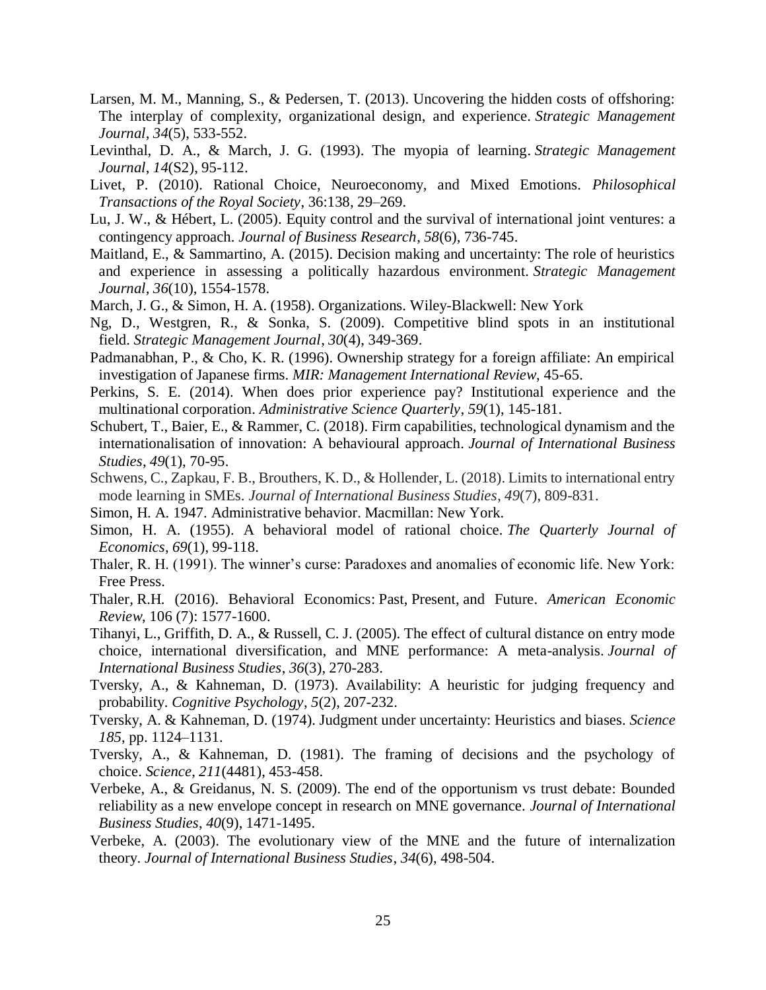- Larsen, M. M., Manning, S., & Pedersen, T. (2013). Uncovering the hidden costs of offshoring: The interplay of complexity, organizational design, and experience. *Strategic Management Journal*, *34*(5), 533-552.
- Levinthal, D. A., & March, J. G. (1993). The myopia of learning. *Strategic Management Journal*, *14*(S2), 95-112.
- Livet, P. (2010). Rational Choice, Neuroeconomy, and Mixed Emotions. *Philosophical Transactions of the Royal Society*, 36:138, 29–269.
- Lu, J. W., & Hébert, L. (2005). Equity control and the survival of international joint ventures: a contingency approach. *Journal of Business Research*, *58*(6), 736-745.
- Maitland, E., & Sammartino, A. (2015). Decision making and uncertainty: The role of heuristics and experience in assessing a politically hazardous environment. *Strategic Management Journal*, *36*(10), 1554-1578.
- March, J. G., & Simon, H. A. (1958). Organizations. Wiley-Blackwell: New York
- Ng, D., Westgren, R., & Sonka, S. (2009). Competitive blind spots in an institutional field. *Strategic Management Journal*, *30*(4), 349-369.
- Padmanabhan, P., & Cho, K. R. (1996). Ownership strategy for a foreign affiliate: An empirical investigation of Japanese firms. *MIR: Management International Review*, 45-65.
- Perkins, S. E. (2014). When does prior experience pay? Institutional experience and the multinational corporation. *Administrative Science Quarterly*, *59*(1), 145-181.
- Schubert, T., Baier, E., & Rammer, C. (2018). Firm capabilities, technological dynamism and the internationalisation of innovation: A behavioural approach. *Journal of International Business Studies*, *49*(1), 70-95.
- Schwens, C., Zapkau, F. B., Brouthers, K. D., & Hollender, L. (2018). Limits to international entry mode learning in SMEs. *Journal of International Business Studies*, *49*(7), 809-831.
- Simon, H. A. 1947. Administrative behavior. Macmillan: New York.
- Simon, H. A. (1955). A behavioral model of rational choice. *The Quarterly Journal of Economics*, *69*(1), 99-118.
- Thaler, R. H. (1991). The winner's curse: Paradoxes and anomalies of economic life. New York: Free Press.
- Thaler*,* R.H. (2016). Behavioral Economics: Past, Present, and Future. *American Economic Review*, 106 (7): 1577-1600.
- Tihanyi, L., Griffith, D. A., & Russell, C. J. (2005). The effect of cultural distance on entry mode choice, international diversification, and MNE performance: A meta-analysis. *Journal of International Business Studies*, *36*(3), 270-283.
- Tversky, A., & Kahneman, D. (1973). Availability: A heuristic for judging frequency and probability. *Cognitive Psychology*, *5*(2), 207-232.
- Tversky, A. & Kahneman, D. (1974). Judgment under uncertainty: Heuristics and biases. *Science 185*, pp. 1124–1131.
- Tversky, A., & Kahneman, D. (1981). The framing of decisions and the psychology of choice. *Science*, *211*(4481), 453-458.
- Verbeke, A., & Greidanus, N. S. (2009). The end of the opportunism vs trust debate: Bounded reliability as a new envelope concept in research on MNE governance. *Journal of International Business Studies*, *40*(9), 1471-1495.
- Verbeke, A. (2003). The evolutionary view of the MNE and the future of internalization theory. *Journal of International Business Studies*, *34*(6), 498-504.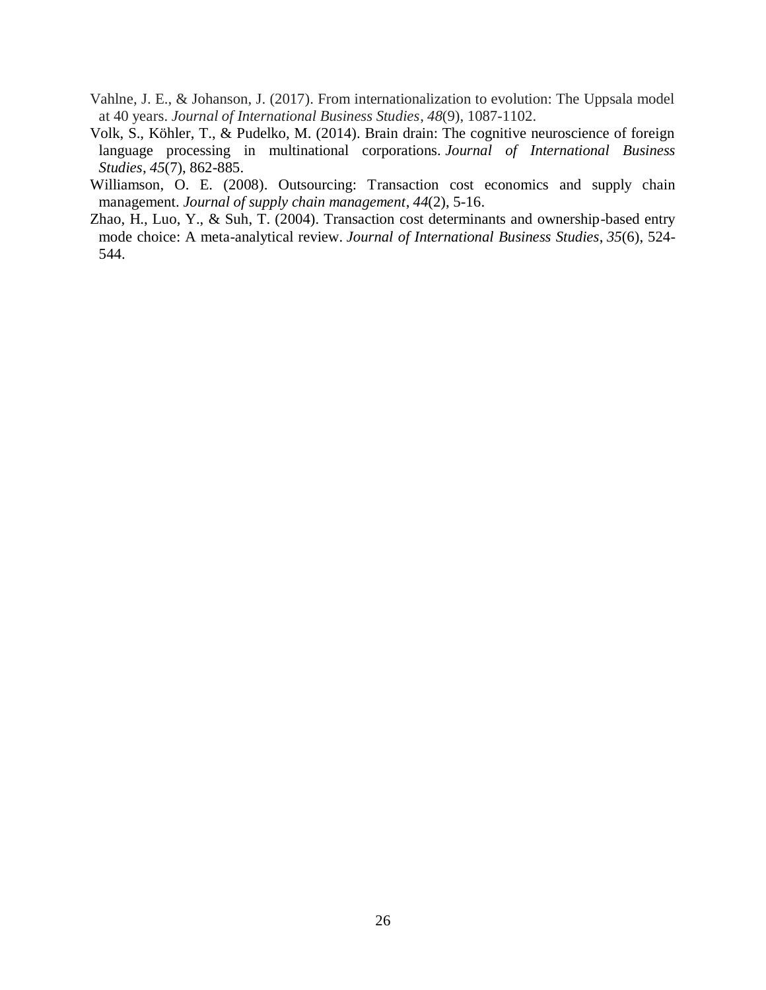- Vahlne, J. E., & Johanson, J. (2017). From internationalization to evolution: The Uppsala model at 40 years. *Journal of International Business Studies*, *48*(9), 1087-1102.
- Volk, S., Köhler, T., & Pudelko, M. (2014). Brain drain: The cognitive neuroscience of foreign language processing in multinational corporations. *Journal of International Business Studies*, *45*(7), 862-885.
- Williamson, O. E. (2008). Outsourcing: Transaction cost economics and supply chain management. *Journal of supply chain management*, *44*(2), 5-16.
- Zhao, H., Luo, Y., & Suh, T. (2004). Transaction cost determinants and ownership-based entry mode choice: A meta-analytical review. *Journal of International Business Studies*, *35*(6), 524- 544.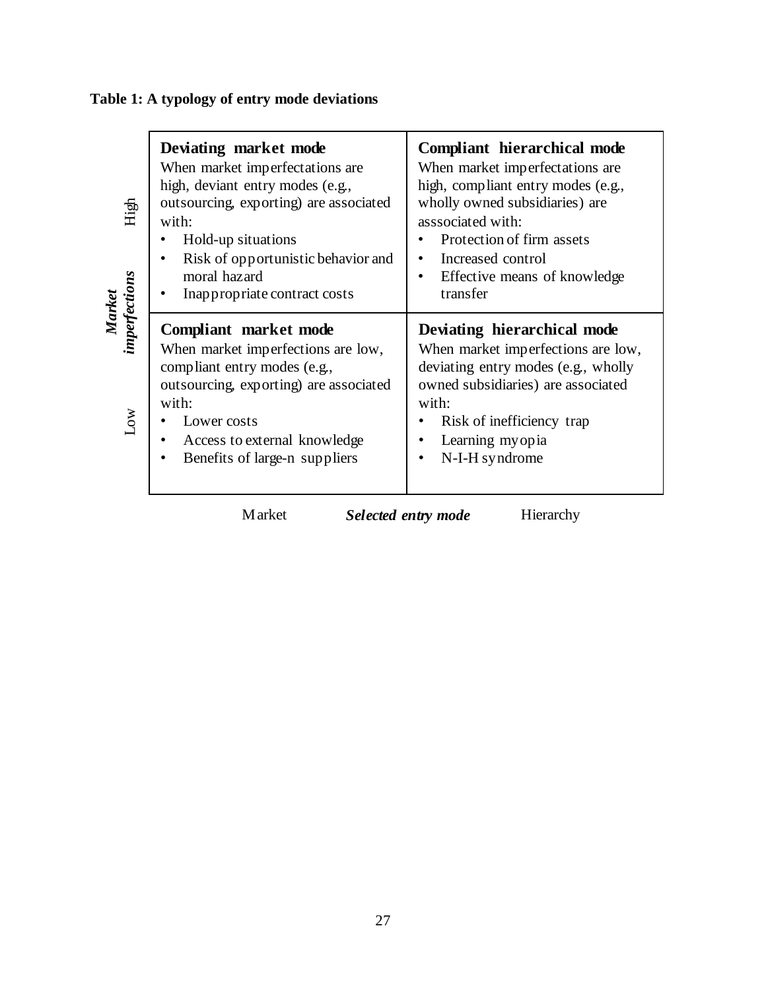| High<br>Market<br>imperfections<br>Low | Deviating market mode<br>When market imperfectations are<br>high, deviant entry modes (e.g.,<br>outsourcing, exporting) are associated<br>with:<br>Hold-up situations<br>Risk of opportunistic behavior and<br>moral hazard<br>Inappropriate contract costs | <b>Compliant hierarchical mode</b><br>When market imperfectations are<br>high, compliant entry modes (e.g.,<br>wholly owned subsidiaries) are<br>asssociated with:<br>Protection of firm assets<br>Increased control<br>$\bullet$<br>Effective means of knowledge<br>transfer |  |
|----------------------------------------|-------------------------------------------------------------------------------------------------------------------------------------------------------------------------------------------------------------------------------------------------------------|-------------------------------------------------------------------------------------------------------------------------------------------------------------------------------------------------------------------------------------------------------------------------------|--|
|                                        | Compliant market mode<br>When market imperfections are low,<br>compliant entry modes (e.g.,<br>outsourcing, exporting) are associated<br>with:<br>Lower costs<br>Access to external knowledge<br>Benefits of large-n suppliers                              | Deviating hierarchical mode<br>When market imperfections are low,<br>deviating entry modes (e.g., wholly<br>owned subsidiaries) are associated<br>with:<br>Risk of inefficiency trap<br>Learning myopia<br>N-I-H syndrome                                                     |  |

# **Table 1: A typology of entry mode deviations**

Market Selected entry mode Hierarchy